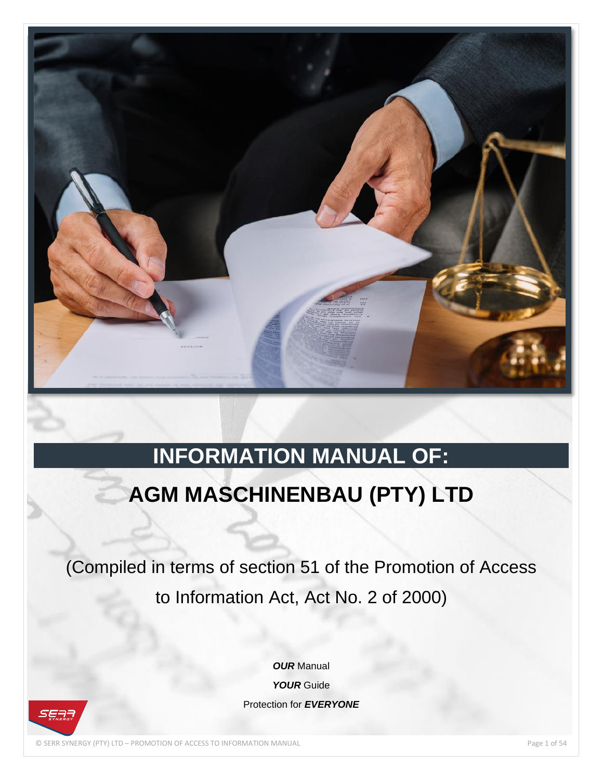

# **INFORMATION MANUAL OF:**

# **AGM MASCHINENBAU (PTY) LTD**

(Compiled in terms of section 51 of the Promotion of Access to Information Act, Act No. 2 of 2000)

> *OUR* Manual *YOUR* Guide Protection for *EVERYONE*

© SERR SYNERGY (PTY) LTD – PROMOTION OF ACCESS TO INFORMATION MANUAL Page 1 of 54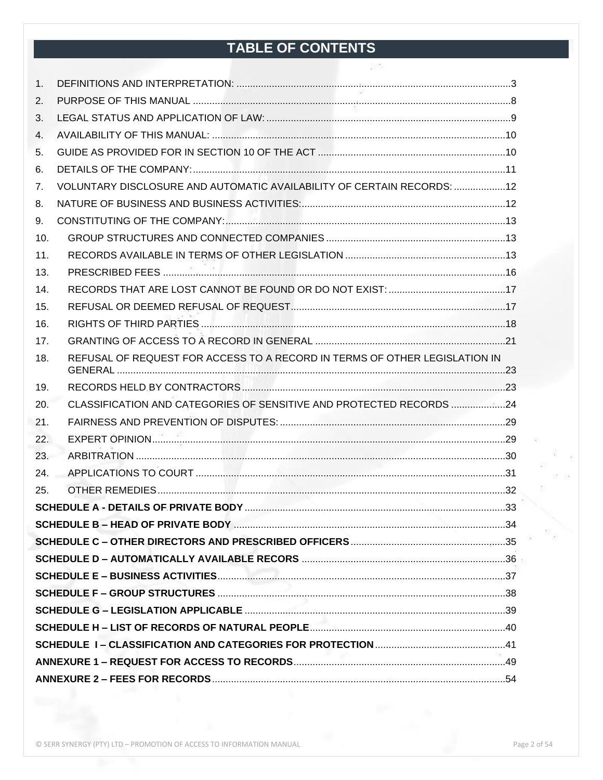# TABLE OF CONTENTS

| 1.  |                                                                            |  |
|-----|----------------------------------------------------------------------------|--|
| 2.  |                                                                            |  |
| 3.  |                                                                            |  |
| 4.  |                                                                            |  |
| 5.  |                                                                            |  |
| 6.  |                                                                            |  |
| 7.  | VOLUNTARY DISCLOSURE AND AUTOMATIC AVAILABILITY OF CERTAIN RECORDS:  12    |  |
| 8.  |                                                                            |  |
| 9.  |                                                                            |  |
| 10. |                                                                            |  |
| 11. |                                                                            |  |
| 13. |                                                                            |  |
| 14. |                                                                            |  |
| 15. |                                                                            |  |
| 16. |                                                                            |  |
| 17. |                                                                            |  |
| 18. | REFUSAL OF REQUEST FOR ACCESS TO A RECORD IN TERMS OF OTHER LEGISLATION IN |  |
| 19. |                                                                            |  |
| 20. | CLASSIFICATION AND CATEGORIES OF SENSITIVE AND PROTECTED RECORDS 24        |  |
| 21. |                                                                            |  |
| 22. |                                                                            |  |
| 23. |                                                                            |  |
| 24. |                                                                            |  |
| 25. |                                                                            |  |
|     |                                                                            |  |
|     |                                                                            |  |
|     |                                                                            |  |
|     |                                                                            |  |
|     |                                                                            |  |
|     |                                                                            |  |
|     |                                                                            |  |
|     |                                                                            |  |
|     |                                                                            |  |
|     |                                                                            |  |
|     |                                                                            |  |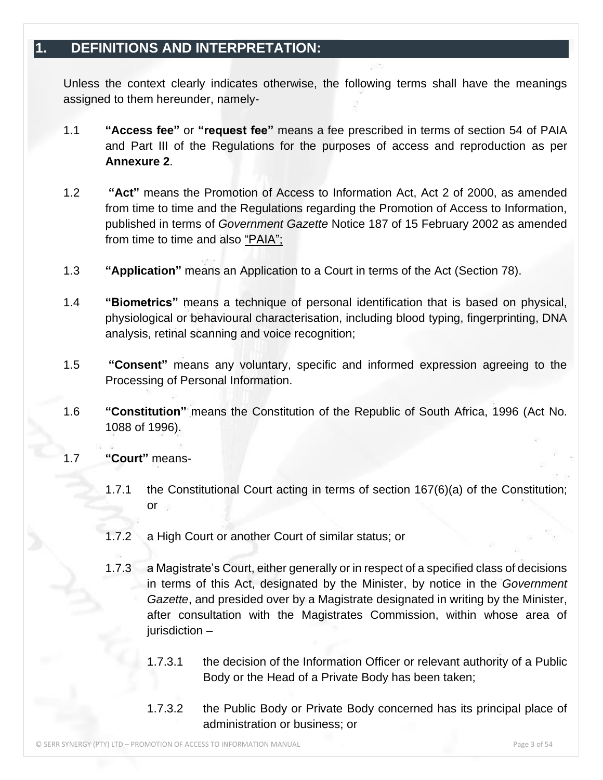### <span id="page-2-0"></span>**1. DEFINITIONS AND INTERPRETATION:**

Unless the context clearly indicates otherwise, the following terms shall have the meanings assigned to them hereunder, namely-

- 1.1 **"Access fee"** or **"request fee"** means a fee prescribed in terms of section 54 of PAIA and Part III of the Regulations for the purposes of access and reproduction as per **Annexure 2**.
- 1.2 **"Act"** means the Promotion of Access to Information Act, Act 2 of 2000, as amended from time to time and the Regulations regarding the Promotion of Access to Information, published in terms of *Government Gazette* Notice 187 of 15 February 2002 as amended from time to time and also "PAIA";
- 1.3 **"Application"** means an Application to a Court in terms of the Act (Section 78).
- 1.4 **"Biometrics"** means a technique of personal identification that is based on physical, physiological or behavioural characterisation, including blood typing, fingerprinting, DNA analysis, retinal scanning and voice recognition;
- 1.5 **"Consent"** means any voluntary, specific and informed expression agreeing to the Processing of Personal Information.
- 1.6 **"Constitution"** means the Constitution of the Republic of South Africa, 1996 (Act No. 1088 of 1996).
- 1.7 **"Court"** means-
	- 1.7.1 the Constitutional Court acting in terms of section 167(6)(a) of the Constitution; or
	- 1.7.2 a High Court or another Court of similar status; or
	- 1.7.3 a Magistrate's Court, either generally or in respect of a specified class of decisions in terms of this Act, designated by the Minister, by notice in the *Government Gazette*, and presided over by a Magistrate designated in writing by the Minister, after consultation with the Magistrates Commission, within whose area of jurisdiction –
		- 1.7.3.1 the decision of the Information Officer or relevant authority of a Public Body or the Head of a Private Body has been taken;
		- 1.7.3.2 the Public Body or Private Body concerned has its principal place of administration or business; or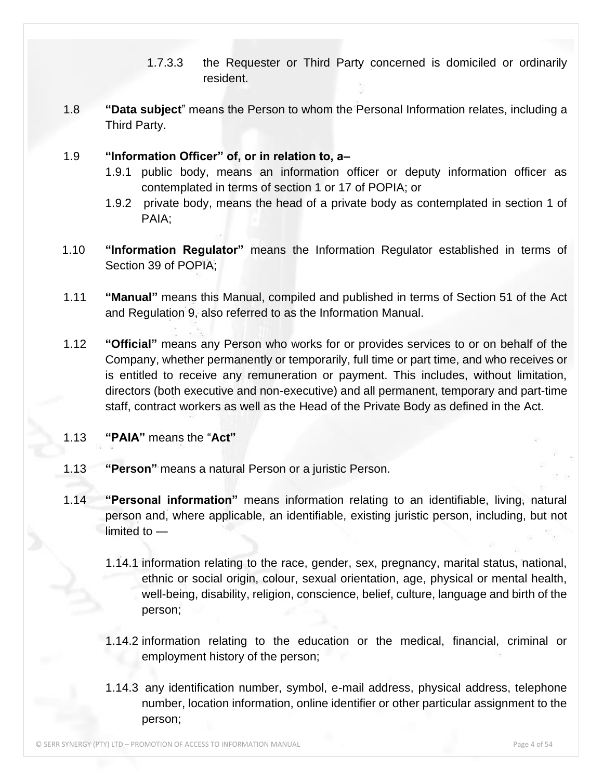- 1.7.3.3 the Requester or Third Party concerned is domiciled or ordinarily resident.
- 1.8 **"Data subject**" means the Person to whom the Personal Information relates, including a Third Party.

#### 1.9 **"Information Officer" of, or in relation to, a–**

- 1.9.1 public body, means an information officer or deputy information officer as contemplated in terms of section 1 or 17 of POPIA; or
- 1.9.2 private body, means the head of a private body as contemplated in section 1 of PAIA;
- 1.10 **"Information Regulator"** means the Information Regulator established in terms of Section 39 of POPIA;
- 1.11 **"Manual"** means this Manual, compiled and published in terms of Section 51 of the Act and Regulation 9, also referred to as the Information Manual.
- 1.12 **"Official"** means any Person who works for or provides services to or on behalf of the Company, whether permanently or temporarily, full time or part time, and who receives or is entitled to receive any remuneration or payment. This includes, without limitation, directors (both executive and non-executive) and all permanent, temporary and part-time staff, contract workers as well as the Head of the Private Body as defined in the Act.
- 1.13 **"PAIA"** means the "**Act"**
- 1.13 **"Person"** means a natural Person or a juristic Person.
- 1.14 **"Personal information"** means information relating to an identifiable, living, natural person and, where applicable, an identifiable, existing juristic person, including, but not limited to —
	- 1.14.1 information relating to the race, gender, sex, pregnancy, marital status, national, ethnic or social origin, colour, sexual orientation, age, physical or mental health, well-being, disability, religion, conscience, belief, culture, language and birth of the person;
	- 1.14.2 information relating to the education or the medical, financial, criminal or employment history of the person;
	- 1.14.3 any identification number, symbol, e-mail address, physical address, telephone number, location information, online identifier or other particular assignment to the person;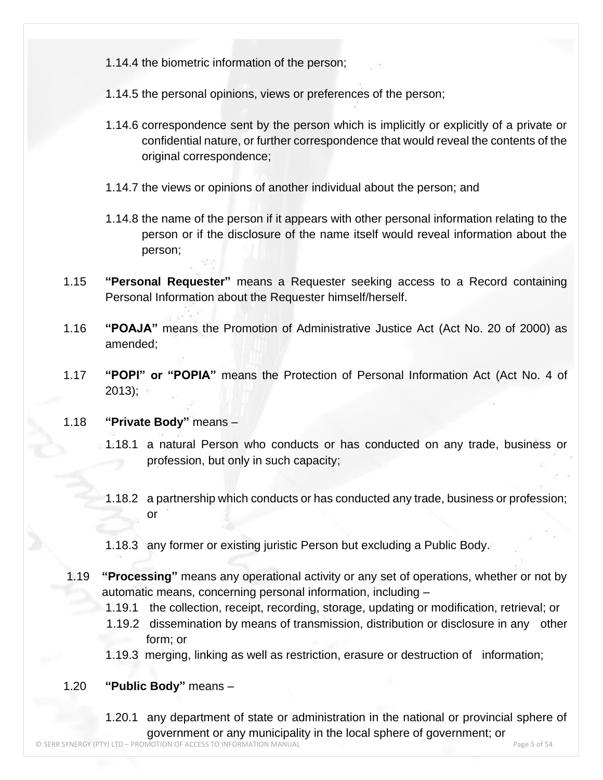- 1.14.4 the biometric information of the person;
- 1.14.5 the personal opinions, views or preferences of the person;
- 1.14.6 correspondence sent by the person which is implicitly or explicitly of a private or confidential nature, or further correspondence that would reveal the contents of the original correspondence;
- 1.14.7 the views or opinions of another individual about the person; and
- 1.14.8 the name of the person if it appears with other personal information relating to the person or if the disclosure of the name itself would reveal information about the person;
- 1.15 **"Personal Requester"** means a Requester seeking access to a Record containing Personal Information about the Requester himself/herself.
- 1.16 **"POAJA"** means the Promotion of Administrative Justice Act (Act No. 20 of 2000) as amended;
- 1.17 **"POPI" or "POPIA"** means the Protection of Personal Information Act (Act No. 4 of 2013);

#### 1.18 **"Private Body"** means –

- 1.18.1 a natural Person who conducts or has conducted on any trade, business or profession, but only in such capacity;
- 1.18.2 a partnership which conducts or has conducted any trade, business or profession; or
- 1.18.3 any former or existing juristic Person but excluding a Public Body.
- 1.19 **"Processing"** means any operational activity or any set of operations, whether or not by automatic means, concerning personal information, including –
	- 1.19.1 the collection, receipt, recording, storage, updating or modification, retrieval; or
	- 1.19.2 dissemination by means of transmission, distribution or disclosure in any other form; or
	- 1.19.3 merging, linking as well as restriction, erasure or destruction of information;

#### 1.20 **"Public Body"** means –

1.20.1 any department of state or administration in the national or provincial sphere of government or any municipality in the local sphere of government; or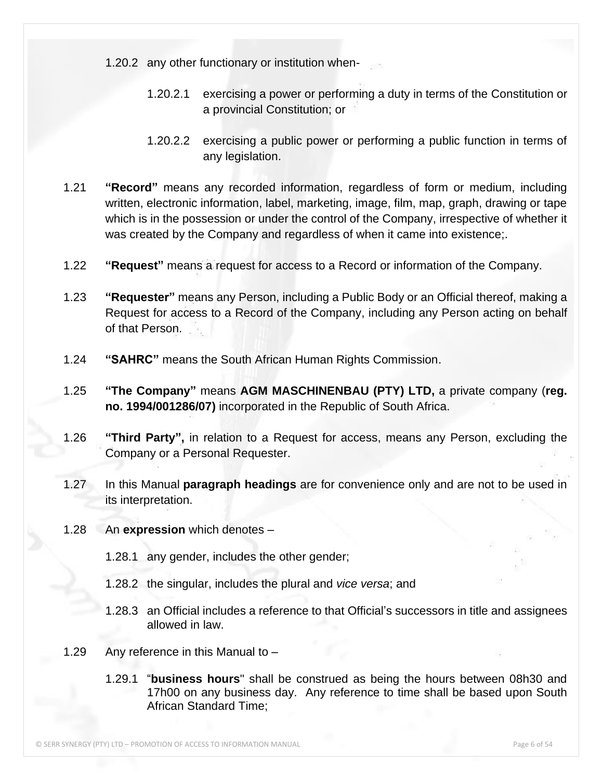1.20.2 any other functionary or institution when-

- 1.20.2.1 exercising a power or performing a duty in terms of the Constitution or a provincial Constitution; or
- 1.20.2.2 exercising a public power or performing a public function in terms of any legislation.
- 1.21 **"Record"** means any recorded information, regardless of form or medium, including written, electronic information, label, marketing, image, film, map, graph, drawing or tape which is in the possession or under the control of the Company, irrespective of whether it was created by the Company and regardless of when it came into existence;.
- 1.22 **"Request"** means a request for access to a Record or information of the Company.
- 1.23 **"Requester"** means any Person, including a Public Body or an Official thereof, making a Request for access to a Record of the Company, including any Person acting on behalf of that Person.
- 1.24 **"SAHRC"** means the South African Human Rights Commission.
- 1.25 **"The Company"** means **AGM MASCHINENBAU (PTY) LTD,** a private company (**reg. no. 1994/001286/07)** incorporated in the Republic of South Africa.
- 1.26 **"Third Party",** in relation to a Request for access, means any Person, excluding the Company or a Personal Requester.
- 1.27 In this Manual **paragraph headings** are for convenience only and are not to be used in its interpretation.
- 1.28 An **expression** which denotes
	- 1.28.1 any gender, includes the other gender;
	- 1.28.2 the singular, includes the plural and *vice versa*; and
	- 1.28.3 an Official includes a reference to that Official's successors in title and assignees allowed in law.
- 1.29 Any reference in this Manual to
	- 1.29.1 "**business hours**" shall be construed as being the hours between 08h30 and 17h00 on any business day. Any reference to time shall be based upon South African Standard Time;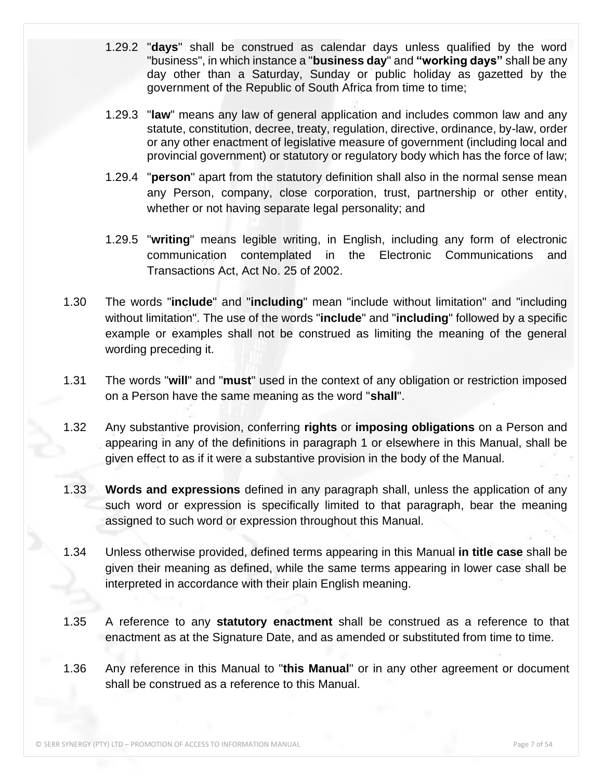- 1.29.2 "**days**" shall be construed as calendar days unless qualified by the word "business", in which instance a "**business day**" and **"working days"** shall be any day other than a Saturday, Sunday or public holiday as gazetted by the government of the Republic of South Africa from time to time;
- 1.29.3 "**law**" means any law of general application and includes common law and any statute, constitution, decree, treaty, regulation, directive, ordinance, by-law, order or any other enactment of legislative measure of government (including local and provincial government) or statutory or regulatory body which has the force of law;
- 1.29.4 "**person**" apart from the statutory definition shall also in the normal sense mean any Person, company, close corporation, trust, partnership or other entity, whether or not having separate legal personality; and
- 1.29.5 "**writing**" means legible writing, in English, including any form of electronic communication contemplated in the Electronic Communications and Transactions Act, Act No. 25 of 2002.
- 1.30 The words "**include**" and "**including**" mean "include without limitation" and "including without limitation". The use of the words "**include**" and "**including**" followed by a specific example or examples shall not be construed as limiting the meaning of the general wording preceding it.
- 1.31 The words "**will**" and "**must**" used in the context of any obligation or restriction imposed on a Person have the same meaning as the word "**shall**".
- 1.32 Any substantive provision, conferring **rights** or **imposing obligations** on a Person and appearing in any of the definitions in paragraph 1 or elsewhere in this Manual, shall be given effect to as if it were a substantive provision in the body of the Manual.
- 1.33 **Words and expressions** defined in any paragraph shall, unless the application of any such word or expression is specifically limited to that paragraph, bear the meaning assigned to such word or expression throughout this Manual.
- 1.34 Unless otherwise provided, defined terms appearing in this Manual **in title case** shall be given their meaning as defined, while the same terms appearing in lower case shall be interpreted in accordance with their plain English meaning.
- 1.35 A reference to any **statutory enactment** shall be construed as a reference to that enactment as at the Signature Date, and as amended or substituted from time to time.
- 1.36 Any reference in this Manual to "**this Manual**" or in any other agreement or document shall be construed as a reference to this Manual.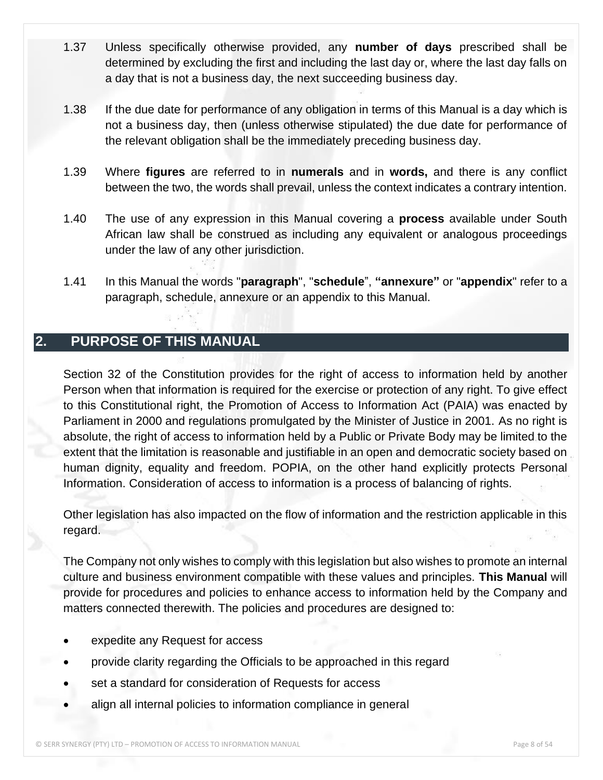- 1.37 Unless specifically otherwise provided, any **number of days** prescribed shall be determined by excluding the first and including the last day or, where the last day falls on a day that is not a business day, the next succeeding business day.
- 1.38 If the due date for performance of any obligation in terms of this Manual is a day which is not a business day, then (unless otherwise stipulated) the due date for performance of the relevant obligation shall be the immediately preceding business day.
- 1.39 Where **figures** are referred to in **numerals** and in **words,** and there is any conflict between the two, the words shall prevail, unless the context indicates a contrary intention.
- 1.40 The use of any expression in this Manual covering a **process** available under South African law shall be construed as including any equivalent or analogous proceedings under the law of any other jurisdiction.
- 1.41 In this Manual the words "**paragraph**", "**schedule**", **"annexure"** or "**appendix**" refer to a paragraph, schedule, annexure or an appendix to this Manual.

# <span id="page-7-0"></span>**2. PURPOSE OF THIS MANUAL**

Section 32 of the Constitution provides for the right of access to information held by another Person when that information is required for the exercise or protection of any right. To give effect to this Constitutional right, the Promotion of Access to Information Act (PAIA) was enacted by Parliament in 2000 and regulations promulgated by the Minister of Justice in 2001. As no right is absolute, the right of access to information held by a Public or Private Body may be limited to the extent that the limitation is reasonable and justifiable in an open and democratic society based on human dignity, equality and freedom. POPIA, on the other hand explicitly protects Personal Information. Consideration of access to information is a process of balancing of rights.

Other legislation has also impacted on the flow of information and the restriction applicable in this regard.

The Company not only wishes to comply with this legislation but also wishes to promote an internal culture and business environment compatible with these values and principles. **This Manual** will provide for procedures and policies to enhance access to information held by the Company and matters connected therewith. The policies and procedures are designed to:

- expedite any Request for access
- provide clarity regarding the Officials to be approached in this regard
- set a standard for consideration of Requests for access
- align all internal policies to information compliance in general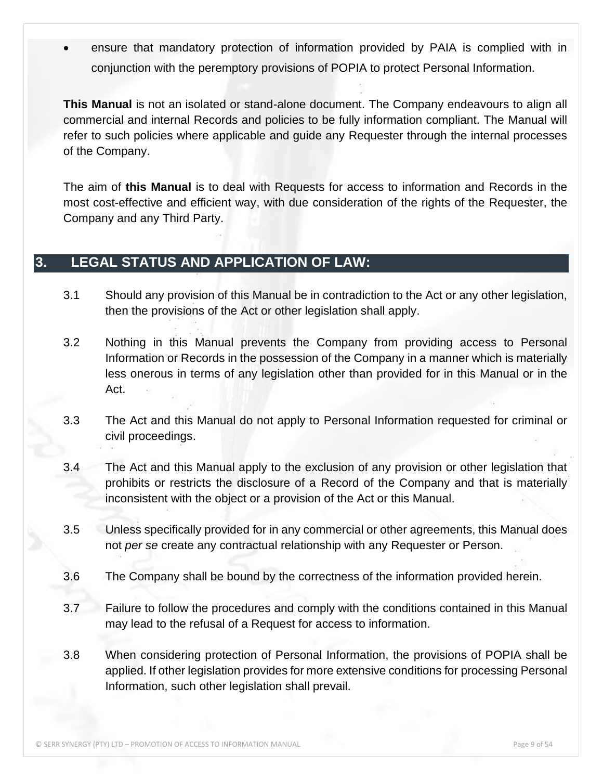ensure that mandatory protection of information provided by PAIA is complied with in conjunction with the peremptory provisions of POPIA to protect Personal Information.

**This Manual** is not an isolated or stand-alone document. The Company endeavours to align all commercial and internal Records and policies to be fully information compliant. The Manual will refer to such policies where applicable and guide any Requester through the internal processes of the Company.

The aim of **this Manual** is to deal with Requests for access to information and Records in the most cost-effective and efficient way, with due consideration of the rights of the Requester, the Company and any Third Party.

### <span id="page-8-0"></span>**3. LEGAL STATUS AND APPLICATION OF LAW:**

- 3.1 Should any provision of this Manual be in contradiction to the Act or any other legislation, then the provisions of the Act or other legislation shall apply.
- 3.2 Nothing in this Manual prevents the Company from providing access to Personal Information or Records in the possession of the Company in a manner which is materially less onerous in terms of any legislation other than provided for in this Manual or in the Act.
- 3.3 The Act and this Manual do not apply to Personal Information requested for criminal or civil proceedings.
- 3.4 The Act and this Manual apply to the exclusion of any provision or other legislation that prohibits or restricts the disclosure of a Record of the Company and that is materially inconsistent with the object or a provision of the Act or this Manual.
- 3.5 Unless specifically provided for in any commercial or other agreements, this Manual does not *per se* create any contractual relationship with any Requester or Person.
- 3.6 The Company shall be bound by the correctness of the information provided herein.
- 3.7 Failure to follow the procedures and comply with the conditions contained in this Manual may lead to the refusal of a Request for access to information.
- 3.8 When considering protection of Personal Information, the provisions of POPIA shall be applied. If other legislation provides for more extensive conditions for processing Personal Information, such other legislation shall prevail.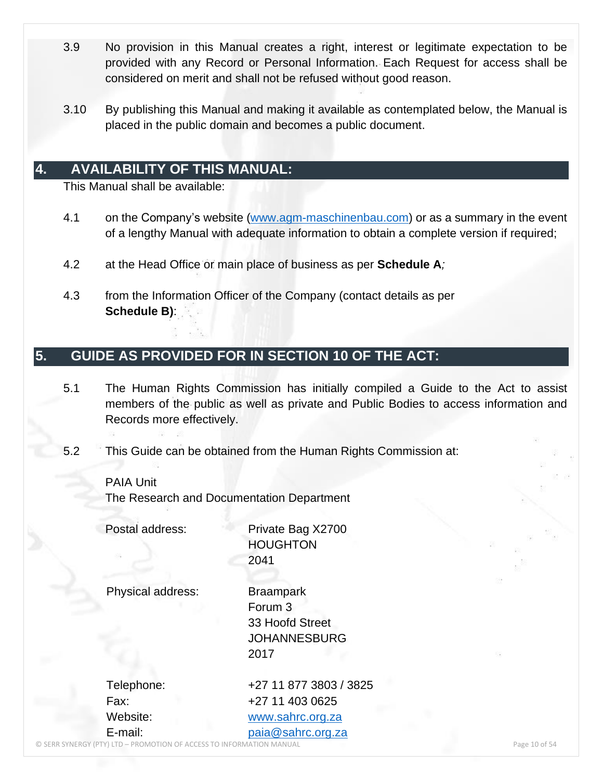- 3.9 No provision in this Manual creates a right, interest or legitimate expectation to be provided with any Record or Personal Information. Each Request for access shall be considered on merit and shall not be refused without good reason.
- 3.10 By publishing this Manual and making it available as contemplated below, the Manual is placed in the public domain and becomes a public document.

#### <span id="page-9-0"></span>**4. AVAILABILITY OF THIS MANUAL:**

This Manual shall be available:

- 4.1 on the Company's website [\(www.agm-maschinenbau.com\)](http://www.agm-maschinenbau.com/) or as a summary in the event of a lengthy Manual with adequate information to obtain a complete version if required;
- 4.2 at the Head Office or main place of business as per **Schedule A***;*
- 4.3 from the Information Officer of the Company (contact details as per **Schedule B)**:

### <span id="page-9-1"></span>**5. GUIDE AS PROVIDED FOR IN SECTION 10 OF THE ACT:**

- 5.1 The Human Rights Commission has initially compiled a Guide to the Act to assist members of the public as well as private and Public Bodies to access information and Records more effectively.
- 5.2 This Guide can be obtained from the Human Rights Commission at:

PAIA Unit The Research and Documentation Department

Postal address: Private Bag X2700 **HOUGHTON** 2041

Physical address: Braampark

Forum 3 33 Hoofd Street JOHANNESBURG 2017

Telephone: +27 11 877 3803 / 3825 Fax: +27 11 403 0625 Website: [www.sahrc.org.za](http://www.sahrc.org.za/) E-mail: [paia@sahrc.org.za](mailto:paia@sahrc.org.za)

© SERR SYNERGY (PTY) LTD – PROMOTION OF ACCESS TO INFORMATION MANUAL Page 10 of 54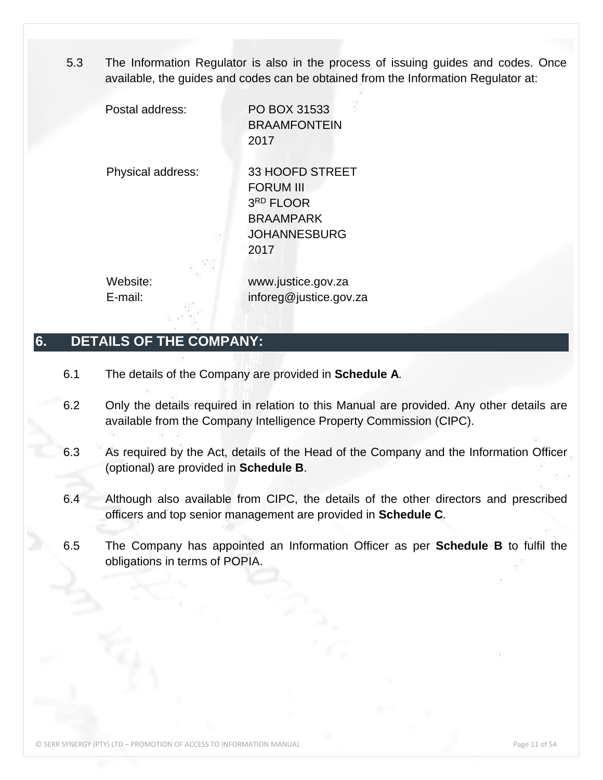5.3 The Information Regulator is also in the process of issuing guides and codes. Once available, the guides and codes can be obtained from the Information Regulator at:

Postal address: PO BOX 31533 BRAAMFONTEIN 2017

Physical address: 33 HOOFD STREET FORUM III 3 RD FLOOR BRAAMPARK JOHANNESBURG 2017

Website: www.justice.gov.za E-mail: inforeg@justice.gov.za

### <span id="page-10-0"></span>**6. DETAILS OF THE COMPANY:**

- 6.1 The details of the Company are provided in **Schedule A***.*
- 6.2 Only the details required in relation to this Manual are provided. Any other details are available from the Company Intelligence Property Commission (CIPC).
- 6.3 As required by the Act, details of the Head of the Company and the Information Officer (optional) are provided in **Schedule B**.
- 6.4 Although also available from CIPC, the details of the other directors and prescribed officers and top senior management are provided in **Schedule C***.*
- 6.5 The Company has appointed an Information Officer as per **Schedule B** to fulfil the obligations in terms of POPIA.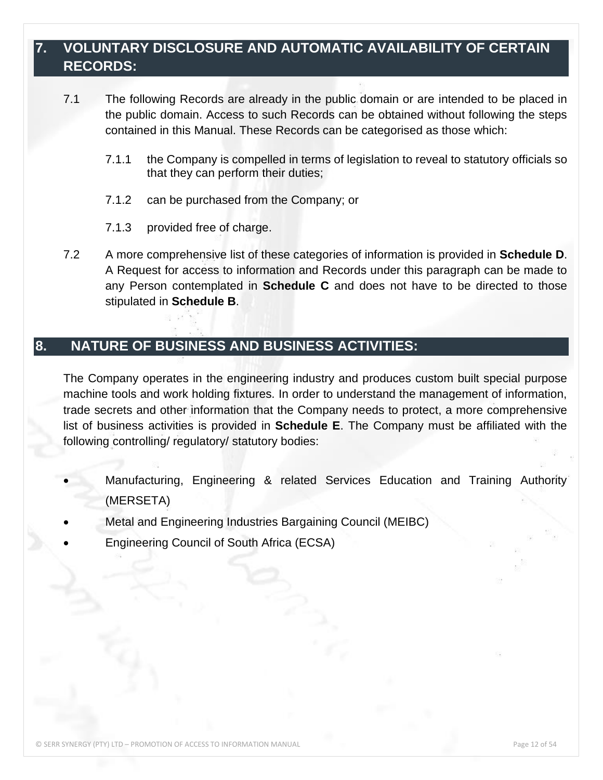### <span id="page-11-0"></span>**7. VOLUNTARY DISCLOSURE AND AUTOMATIC AVAILABILITY OF CERTAIN RECORDS:**

- 7.1 The following Records are already in the public domain or are intended to be placed in the public domain. Access to such Records can be obtained without following the steps contained in this Manual. These Records can be categorised as those which:
	- 7.1.1 the Company is compelled in terms of legislation to reveal to statutory officials so that they can perform their duties;
	- 7.1.2 can be purchased from the Company; or
	- 7.1.3 provided free of charge.
- 7.2 A more comprehensive list of these categories of information is provided in **Schedule D**. A Request for access to information and Records under this paragraph can be made to any Person contemplated in **Schedule C** and does not have to be directed to those stipulated in **Schedule B**.

### <span id="page-11-1"></span>**8. NATURE OF BUSINESS AND BUSINESS ACTIVITIES:**

The Company operates in the engineering industry and produces custom built special purpose machine tools and work holding fixtures. In order to understand the management of information, trade secrets and other information that the Company needs to protect, a more comprehensive list of business activities is provided in **Schedule E**. The Company must be affiliated with the following controlling/ regulatory/ statutory bodies:

- Manufacturing, Engineering & related Services Education and Training Authority (MERSETA)
- Metal and Engineering Industries Bargaining Council (MEIBC)
- Engineering Council of South Africa (ECSA)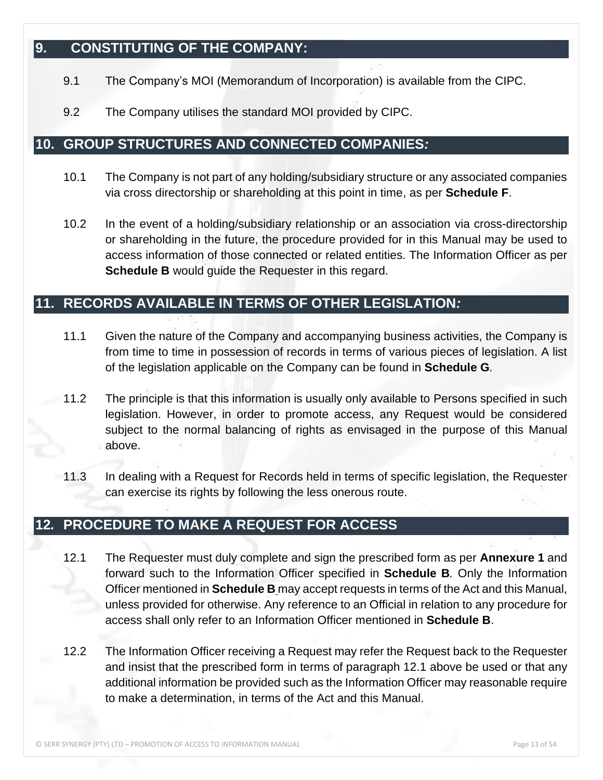### <span id="page-12-0"></span>**9. CONSTITUTING OF THE COMPANY:**

- 9.1 The Company's MOI (Memorandum of Incorporation) is available from the CIPC.
- 9.2 The Company utilises the standard MOI provided by CIPC.

#### <span id="page-12-1"></span>**10. GROUP STRUCTURES AND CONNECTED COMPANIES***:*

- 10.1 The Company is not part of any holding/subsidiary structure or any associated companies via cross directorship or shareholding at this point in time, as per **Schedule F**.
- 10.2 In the event of a holding/subsidiary relationship or an association via cross-directorship or shareholding in the future, the procedure provided for in this Manual may be used to access information of those connected or related entities. The Information Officer as per **Schedule B** would guide the Requester in this regard.

### <span id="page-12-2"></span>**11. RECORDS AVAILABLE IN TERMS OF OTHER LEGISLATION***:*

- 11.1 Given the nature of the Company and accompanying business activities, the Company is from time to time in possession of records in terms of various pieces of legislation. A list of the legislation applicable on the Company can be found in **Schedule G***.*
- 11.2 The principle is that this information is usually only available to Persons specified in such legislation. However, in order to promote access, any Request would be considered subject to the normal balancing of rights as envisaged in the purpose of this Manual above.
- 11.3 In dealing with a Request for Records held in terms of specific legislation, the Requester can exercise its rights by following the less onerous route.

### **12***.* **PROCEDURE TO MAKE A REQUEST FOR ACCESS**

- 12.1 The Requester must duly complete and sign the prescribed form as per **Annexure 1** and forward such to the Information Officer specified in **Schedule B***.* Only the Information Officer mentioned in **Schedule B** may accept requests in terms of the Act and this Manual, unless provided for otherwise. Any reference to an Official in relation to any procedure for access shall only refer to an Information Officer mentioned in **Schedule B**.
- 12.2 The Information Officer receiving a Request may refer the Request back to the Requester and insist that the prescribed form in terms of paragraph 12.1 above be used or that any additional information be provided such as the Information Officer may reasonable require to make a determination, in terms of the Act and this Manual.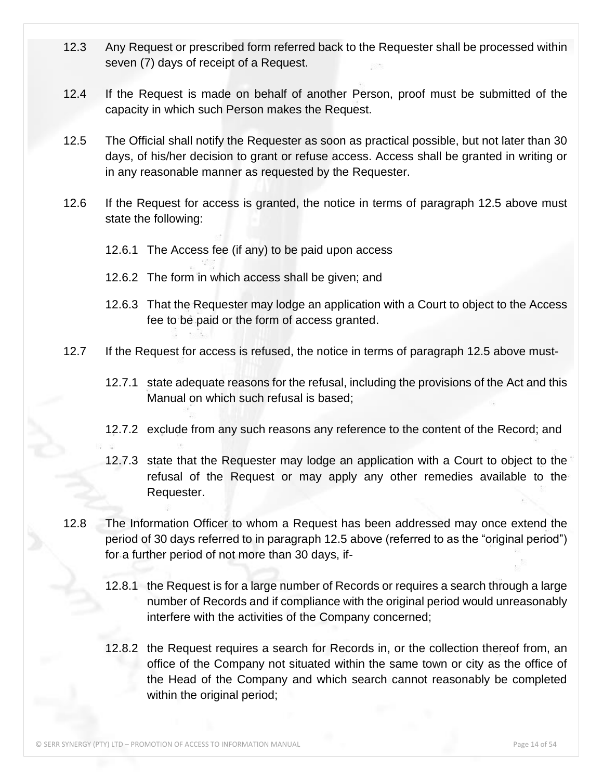- 12.3 Any Request or prescribed form referred back to the Requester shall be processed within seven (7) days of receipt of a Request.
- 12.4 If the Request is made on behalf of another Person, proof must be submitted of the capacity in which such Person makes the Request.
- 12.5 The Official shall notify the Requester as soon as practical possible, but not later than 30 days, of his/her decision to grant or refuse access. Access shall be granted in writing or in any reasonable manner as requested by the Requester.
- 12.6 If the Request for access is granted, the notice in terms of paragraph 12.5 above must state the following:
	- 12.6.1 The Access fee (if any) to be paid upon access
	- 12.6.2 The form in which access shall be given; and
	- 12.6.3 That the Requester may lodge an application with a Court to object to the Access fee to be paid or the form of access granted.
- 12.7 If the Request for access is refused, the notice in terms of paragraph 12.5 above must-
	- 12.7.1 state adequate reasons for the refusal, including the provisions of the Act and this Manual on which such refusal is based;
	- 12.7.2 exclude from any such reasons any reference to the content of the Record; and
	- 12.7.3 state that the Requester may lodge an application with a Court to object to the refusal of the Request or may apply any other remedies available to the Requester.
- 12.8 The Information Officer to whom a Request has been addressed may once extend the period of 30 days referred to in paragraph 12.5 above (referred to as the "original period") for a further period of not more than 30 days, if-
	- 12.8.1 the Request is for a large number of Records or requires a search through a large number of Records and if compliance with the original period would unreasonably interfere with the activities of the Company concerned;
	- 12.8.2 the Request requires a search for Records in, or the collection thereof from, an office of the Company not situated within the same town or city as the office of the Head of the Company and which search cannot reasonably be completed within the original period;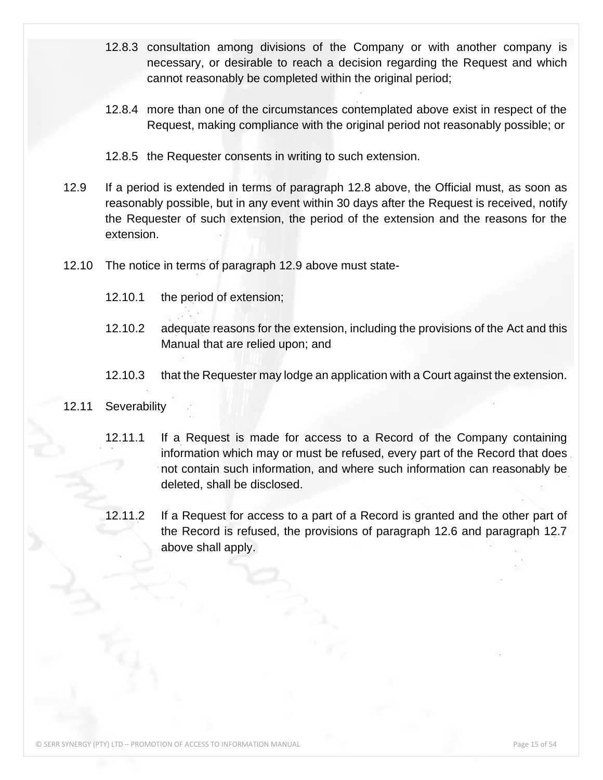- 12.8.3 consultation among divisions of the Company or with another company is necessary, or desirable to reach a decision regarding the Request and which cannot reasonably be completed within the original period;
- 12.8.4 more than one of the circumstances contemplated above exist in respect of the Request, making compliance with the original period not reasonably possible; or
- 12.8.5 the Requester consents in writing to such extension.
- 12.9 If a period is extended in terms of paragraph 12.8 above, the Official must, as soon as reasonably possible, but in any event within 30 days after the Request is received, notify the Requester of such extension, the period of the extension and the reasons for the extension.
- 12.10 The notice in terms of paragraph 12.9 above must state-
	- 12.10.1 the period of extension;
	- 12.10.2 adequate reasons for the extension, including the provisions of the Act and this Manual that are relied upon; and
	- 12.10.3 that the Requester may lodge an application with a Court against the extension.

#### 12.11 Severability

- 12.11.1 If a Request is made for access to a Record of the Company containing information which may or must be refused, every part of the Record that does not contain such information, and where such information can reasonably be deleted, shall be disclosed.
- 12.11.2 If a Request for access to a part of a Record is granted and the other part of the Record is refused, the provisions of paragraph 12.6 and paragraph 12.7 above shall apply.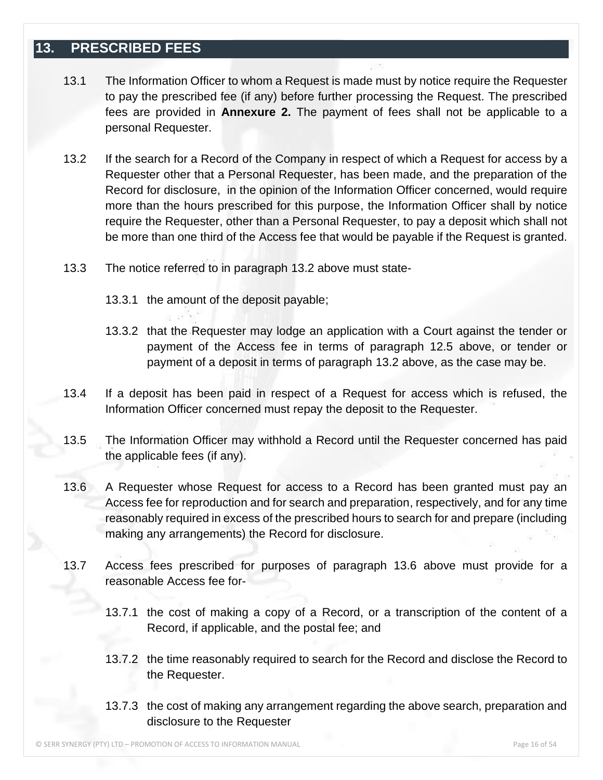#### <span id="page-15-0"></span>**13. PRESCRIBED FEES**

- 13.1 The Information Officer to whom a Request is made must by notice require the Requester to pay the prescribed fee (if any) before further processing the Request. The prescribed fees are provided in **Annexure 2.** The payment of fees shall not be applicable to a personal Requester.
- 13.2 If the search for a Record of the Company in respect of which a Request for access by a Requester other that a Personal Requester, has been made, and the preparation of the Record for disclosure, in the opinion of the Information Officer concerned, would require more than the hours prescribed for this purpose, the Information Officer shall by notice require the Requester, other than a Personal Requester, to pay a deposit which shall not be more than one third of the Access fee that would be payable if the Request is granted.
- 13.3 The notice referred to in paragraph 13.2 above must state-
	- 13.3.1 the amount of the deposit payable;
	- 13.3.2 that the Requester may lodge an application with a Court against the tender or payment of the Access fee in terms of paragraph 12.5 above, or tender or payment of a deposit in terms of paragraph 13.2 above, as the case may be.
- 13.4 If a deposit has been paid in respect of a Request for access which is refused, the Information Officer concerned must repay the deposit to the Requester.
- 13.5 The Information Officer may withhold a Record until the Requester concerned has paid the applicable fees (if any).
- 13.6 A Requester whose Request for access to a Record has been granted must pay an Access fee for reproduction and for search and preparation, respectively, and for any time reasonably required in excess of the prescribed hours to search for and prepare (including making any arrangements) the Record for disclosure.
- 13.7 Access fees prescribed for purposes of paragraph 13.6 above must provide for a reasonable Access fee for-
	- 13.7.1 the cost of making a copy of a Record, or a transcription of the content of a Record, if applicable, and the postal fee; and
	- 13.7.2 the time reasonably required to search for the Record and disclose the Record to the Requester.
	- 13.7.3 the cost of making any arrangement regarding the above search, preparation and disclosure to the Requester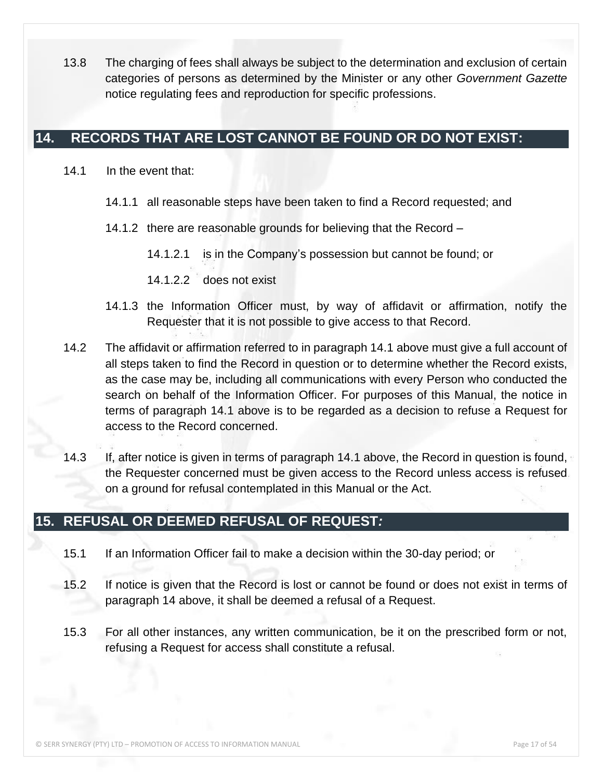13.8 The charging of fees shall always be subject to the determination and exclusion of certain categories of persons as determined by the Minister or any other *Government Gazette* notice regulating fees and reproduction for specific professions.

#### <span id="page-16-0"></span>**14. RECORDS THAT ARE LOST CANNOT BE FOUND OR DO NOT EXIST:**

- 14.1 In the event that:
	- 14.1.1 all reasonable steps have been taken to find a Record requested; and
	- 14.1.2 there are reasonable grounds for believing that the Record
		- 14.1.2.1 is in the Company's possession but cannot be found; or
		- 14.1.2.2 does not exist
	- 14.1.3 the Information Officer must, by way of affidavit or affirmation, notify the Requester that it is not possible to give access to that Record.
- 14.2 The affidavit or affirmation referred to in paragraph 14.1 above must give a full account of all steps taken to find the Record in question or to determine whether the Record exists, as the case may be, including all communications with every Person who conducted the search on behalf of the Information Officer. For purposes of this Manual, the notice in terms of paragraph 14.1 above is to be regarded as a decision to refuse a Request for access to the Record concerned.
- 14.3 If, after notice is given in terms of paragraph 14.1 above, the Record in question is found, the Requester concerned must be given access to the Record unless access is refused on a ground for refusal contemplated in this Manual or the Act.

#### <span id="page-16-1"></span>**15. REFUSAL OR DEEMED REFUSAL OF REQUEST***:*

- 15.1 If an Information Officer fail to make a decision within the 30-day period; or
- 15.2 If notice is given that the Record is lost or cannot be found or does not exist in terms of paragraph 14 above, it shall be deemed a refusal of a Request.
- 15.3 For all other instances, any written communication, be it on the prescribed form or not, refusing a Request for access shall constitute a refusal.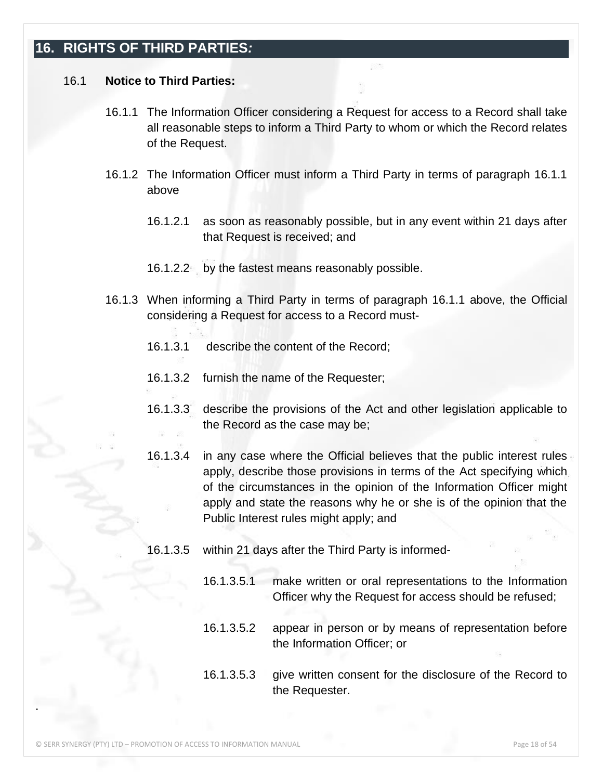### <span id="page-17-0"></span>**16. RIGHTS OF THIRD PARTIES***:*

#### 16.1 **Notice to Third Parties:**

- 16.1.1 The Information Officer considering a Request for access to a Record shall take all reasonable steps to inform a Third Party to whom or which the Record relates of the Request.
- 16.1.2 The Information Officer must inform a Third Party in terms of paragraph 16.1.1 above
	- 16.1.2.1 as soon as reasonably possible, but in any event within 21 days after that Request is received; and
	- 16.1.2.2 by the fastest means reasonably possible.
- 16.1.3 When informing a Third Party in terms of paragraph 16.1.1 above, the Official considering a Request for access to a Record must-
	- 16.1.3.1 describe the content of the Record;
	- 16.1.3.2 furnish the name of the Requester;
	- 16.1.3.3 describe the provisions of the Act and other legislation applicable to the Record as the case may be;
	- 16.1.3.4 in any case where the Official believes that the public interest rules apply, describe those provisions in terms of the Act specifying which of the circumstances in the opinion of the Information Officer might apply and state the reasons why he or she is of the opinion that the Public Interest rules might apply; and
	- 16.1.3.5 within 21 days after the Third Party is informed-
		- 16.1.3.5.1 make written or oral representations to the Information Officer why the Request for access should be refused;
		- 16.1.3.5.2 appear in person or by means of representation before the Information Officer; or
		- 16.1.3.5.3 give written consent for the disclosure of the Record to the Requester.

.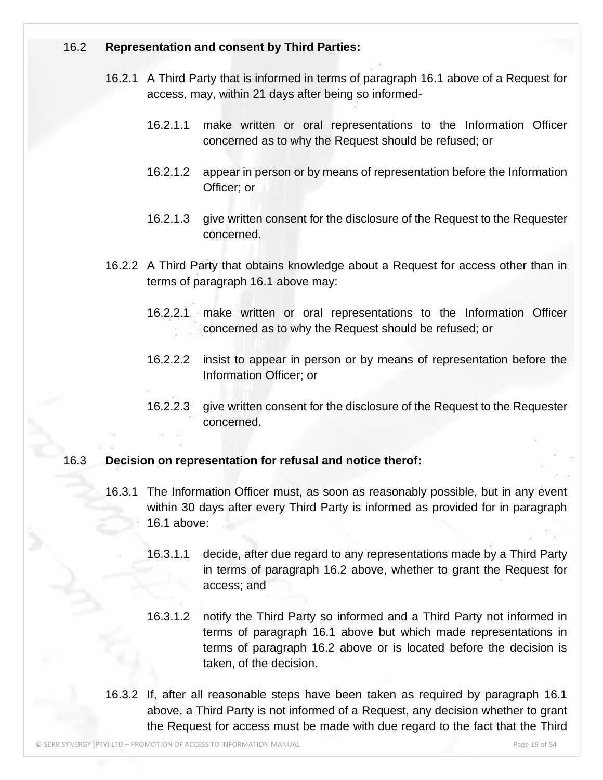#### 16.2 **Representation and consent by Third Parties:**

- 16.2.1 A Third Party that is informed in terms of paragraph 16.1 above of a Request for access, may, within 21 days after being so informed-
	- 16.2.1.1 make written or oral representations to the Information Officer concerned as to why the Request should be refused; or
	- 16.2.1.2 appear in person or by means of representation before the Information Officer; or
	- 16.2.1.3 give written consent for the disclosure of the Request to the Requester concerned.
- 16.2.2 A Third Party that obtains knowledge about a Request for access other than in terms of paragraph 16.1 above may:
	- 16.2.2.1 make written or oral representations to the Information Officer concerned as to why the Request should be refused; or
	- 16.2.2.2 insist to appear in person or by means of representation before the Information Officer; or
	- 16.2.2.3 give written consent for the disclosure of the Request to the Requester concerned.

#### 16.3 **Decision on representation for refusal and notice therof:**

- 16.3.1 The Information Officer must, as soon as reasonably possible, but in any event within 30 days after every Third Party is informed as provided for in paragraph 16.1 above:
	- 16.3.1.1 decide, after due regard to any representations made by a Third Party in terms of paragraph 16.2 above, whether to grant the Request for access; and
	- 16.3.1.2 notify the Third Party so informed and a Third Party not informed in terms of paragraph 16.1 above but which made representations in terms of paragraph 16.2 above or is located before the decision is taken, of the decision.
- 16.3.2 If, after all reasonable steps have been taken as required by paragraph 16.1 above, a Third Party is not informed of a Request, any decision whether to grant the Request for access must be made with due regard to the fact that the Third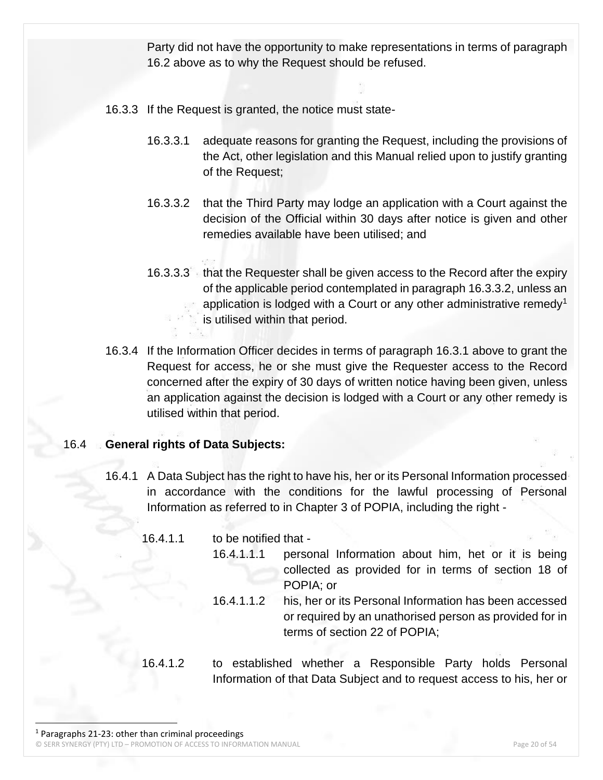Party did not have the opportunity to make representations in terms of paragraph 16.2 above as to why the Request should be refused.

- 16.3.3 If the Request is granted, the notice must state-
	- 16.3.3.1 adequate reasons for granting the Request, including the provisions of the Act, other legislation and this Manual relied upon to justify granting of the Request;
	- 16.3.3.2 that the Third Party may lodge an application with a Court against the decision of the Official within 30 days after notice is given and other remedies available have been utilised; and
	- 16.3.3.3 that the Requester shall be given access to the Record after the expiry of the applicable period contemplated in paragraph 16.3.3.2, unless an application is lodged with a Court or any other administrative remedy<sup>1</sup> is utilised within that period.
- 16.3.4 If the Information Officer decides in terms of paragraph 16.3.1 above to grant the Request for access, he or she must give the Requester access to the Record concerned after the expiry of 30 days of written notice having been given, unless an application against the decision is lodged with a Court or any other remedy is utilised within that period.

#### 16.4 **General rights of Data Subjects:**

16.4.1 A Data Subject has the right to have his, her or its Personal Information processed in accordance with the conditions for the lawful processing of Personal Information as referred to in Chapter 3 of POPIA, including the right -

| 16.4.1.1 | to be notified that - |                                                                                                                                                    |
|----------|-----------------------|----------------------------------------------------------------------------------------------------------------------------------------------------|
|          | 16.4.1.1.1            | personal Information about him, het or it is being<br>collected as provided for in terms of section 18 of                                          |
|          |                       | POPIA; or                                                                                                                                          |
|          | 16.4.1.1.2            | his, her or its Personal Information has been accessed<br>or required by an unathorised person as provided for in<br>terms of section 22 of POPIA; |

16.4.1.2 to established whether a Responsible Party holds Personal Information of that Data Subject and to request access to his, her or

© SERR SYNERGY (PTY) LTD – PROMOTION OF ACCESS TO INFORMATION MANUAL Page 20 of 54  $1$  Paragraphs 21-23: other than criminal proceedings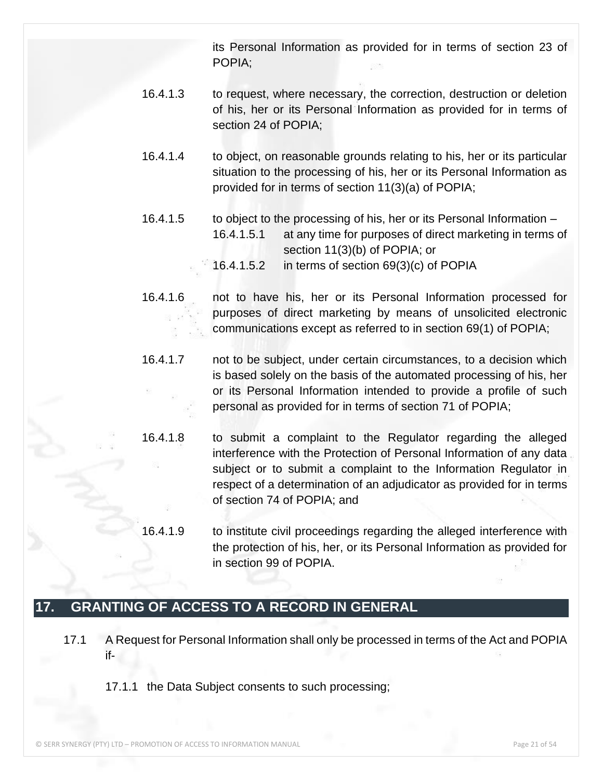its Personal Information as provided for in terms of section 23 of POPIA;

- 16.4.1.3 to request, where necessary, the correction, destruction or deletion of his, her or its Personal Information as provided for in terms of section 24 of POPIA;
- 16.4.1.4 to object, on reasonable grounds relating to his, her or its particular situation to the processing of his, her or its Personal Information as provided for in terms of section 11(3)(a) of POPIA;
- 16.4.1.5 to object to the processing of his, her or its Personal Information 16.4.1.5.1 at any time for purposes of direct marketing in terms of section 11(3)(b) of POPIA; or 16.4.1.5.2 in terms of section 69(3)(c) of POPIA
- 16.4.1.6 not to have his, her or its Personal Information processed for purposes of direct marketing by means of unsolicited electronic communications except as referred to in section 69(1) of POPIA;
- 16.4.1.7 not to be subject, under certain circumstances, to a decision which is based solely on the basis of the automated processing of his, her or its Personal Information intended to provide a profile of such personal as provided for in terms of section 71 of POPIA;
- 16.4.1.8 to submit a complaint to the Regulator regarding the alleged interference with the Protection of Personal Information of any data subject or to submit a complaint to the Information Regulator in respect of a determination of an adjudicator as provided for in terms of section 74 of POPIA; and
	- 16.4.1.9 to institute civil proceedings regarding the alleged interference with the protection of his, her, or its Personal Information as provided for in section 99 of POPIA.

### <span id="page-20-0"></span>**17. GRANTING OF ACCESS TO A RECORD IN GENERAL**

- 17.1 A Request for Personal Information shall only be processed in terms of the Act and POPIA if-
	- 17.1.1 the Data Subject consents to such processing;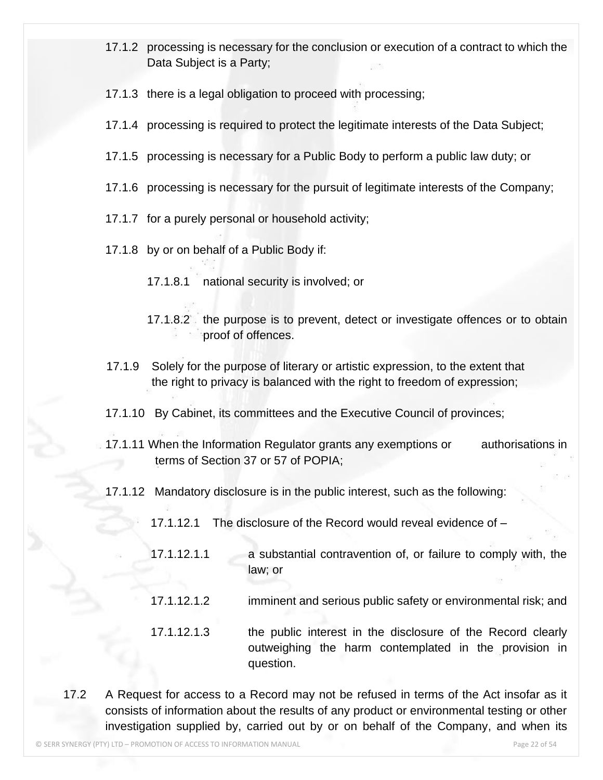- 17.1.2 processing is necessary for the conclusion or execution of a contract to which the Data Subject is a Party;
- 17.1.3 there is a legal obligation to proceed with processing;
- 17.1.4 processing is required to protect the legitimate interests of the Data Subject;
- 17.1.5 processing is necessary for a Public Body to perform a public law duty; or
- 17.1.6 processing is necessary for the pursuit of legitimate interests of the Company;
- 17.1.7 for a purely personal or household activity;
- 17.1.8 by or on behalf of a Public Body if:
	- 17.1.8.1 national security is involved; or
	- 17.1.8.2 the purpose is to prevent, detect or investigate offences or to obtain proof of offences.
- 17.1.9 Solely for the purpose of literary or artistic expression, to the extent that the right to privacy is balanced with the right to freedom of expression;
- 17.1.10 By Cabinet, its committees and the Executive Council of provinces;
- 17.1.11 When the Information Regulator grants any exemptions or authorisations in terms of Section 37 or 57 of POPIA;
- 17.1.12 Mandatory disclosure is in the public interest, such as the following:
	- 17.1.12.1 The disclosure of the Record would reveal evidence of –
	- 17.1.12.1.1 a substantial contravention of, or failure to comply with, the law; or
	- 17.1.12.1.2 imminent and serious public safety or environmental risk; and
	- 17.1.12.1.3 the public interest in the disclosure of the Record clearly outweighing the harm contemplated in the provision in question.
- 17.2 A Request for access to a Record may not be refused in terms of the Act insofar as it consists of information about the results of any product or environmental testing or other investigation supplied by, carried out by or on behalf of the Company, and when its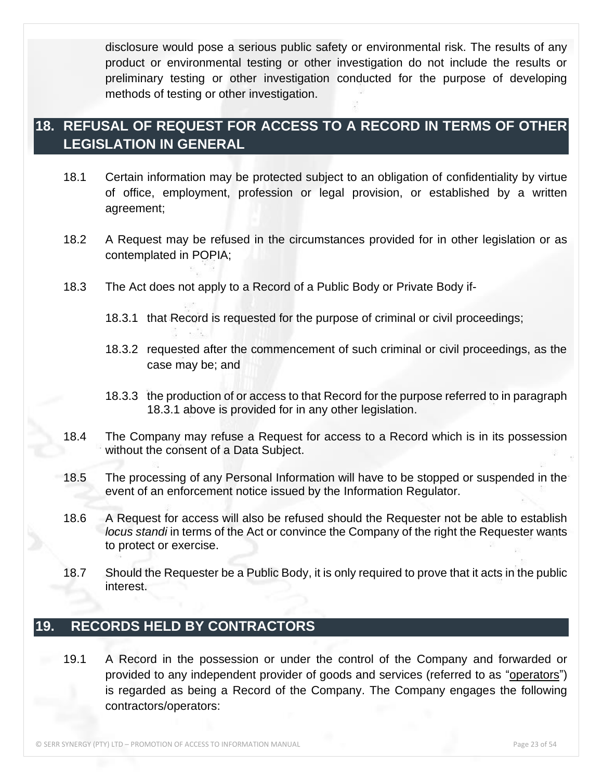disclosure would pose a serious public safety or environmental risk. The results of any product or environmental testing or other investigation do not include the results or preliminary testing or other investigation conducted for the purpose of developing methods of testing or other investigation.

### <span id="page-22-0"></span>**18. REFUSAL OF REQUEST FOR ACCESS TO A RECORD IN TERMS OF OTHER LEGISLATION IN GENERAL**

- 18.1 Certain information may be protected subject to an obligation of confidentiality by virtue of office, employment, profession or legal provision, or established by a written agreement;
- 18.2 A Request may be refused in the circumstances provided for in other legislation or as contemplated in POPIA;
- 18.3 The Act does not apply to a Record of a Public Body or Private Body if-
	- 18.3.1 that Record is requested for the purpose of criminal or civil proceedings;
	- 18.3.2 requested after the commencement of such criminal or civil proceedings, as the case may be; and
	- 18.3.3 the production of or access to that Record for the purpose referred to in paragraph 18.3.1 above is provided for in any other legislation.
- 18.4 The Company may refuse a Request for access to a Record which is in its possession without the consent of a Data Subject.
- 18.5 The processing of any Personal Information will have to be stopped or suspended in the event of an enforcement notice issued by the Information Regulator.
- 18.6 A Request for access will also be refused should the Requester not be able to establish *locus standi* in terms of the Act or convince the Company of the right the Requester wants to protect or exercise.
- 18.7 Should the Requester be a Public Body, it is only required to prove that it acts in the public interest.

### <span id="page-22-1"></span>**19. RECORDS HELD BY CONTRACTORS**

19.1 A Record in the possession or under the control of the Company and forwarded or provided to any independent provider of goods and services (referred to as "operators") is regarded as being a Record of the Company. The Company engages the following contractors/operators: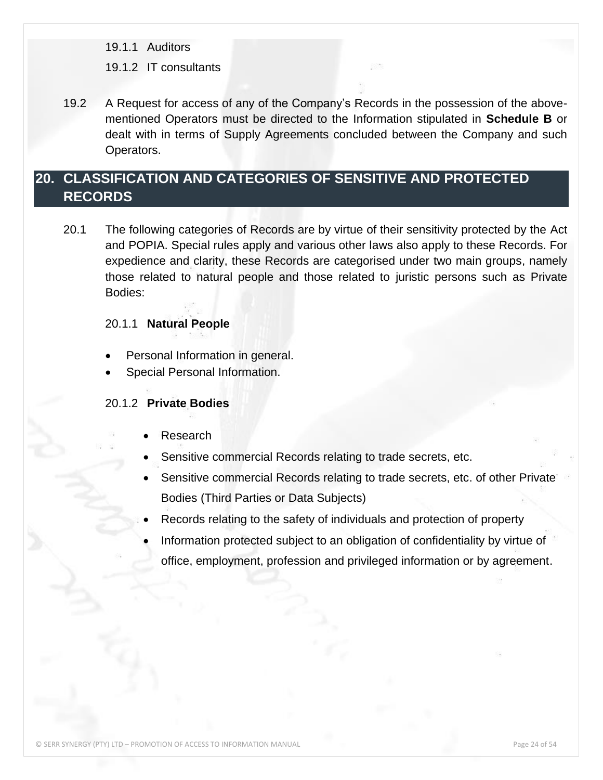19.1.1 Auditors

#### 19.1.2 IT consultants

19.2 A Request for access of any of the Company's Records in the possession of the abovementioned Operators must be directed to the Information stipulated in **Schedule B** or dealt with in terms of Supply Agreements concluded between the Company and such Operators.

### <span id="page-23-0"></span>**20. CLASSIFICATION AND CATEGORIES OF SENSITIVE AND PROTECTED RECORDS**

20.1 The following categories of Records are by virtue of their sensitivity protected by the Act and POPIA. Special rules apply and various other laws also apply to these Records. For expedience and clarity, these Records are categorised under two main groups, namely those related to natural people and those related to juristic persons such as Private Bodies:

#### 20.1.1 **Natural People**

- Personal Information in general.
- Special Personal Information.

#### 20.1.2 **Private Bodies**

- Research
- Sensitive commercial Records relating to trade secrets, etc.
- Sensitive commercial Records relating to trade secrets, etc. of other Private Bodies (Third Parties or Data Subjects)
- Records relating to the safety of individuals and protection of property
- Information protected subject to an obligation of confidentiality by virtue of office, employment, profession and privileged information or by agreement.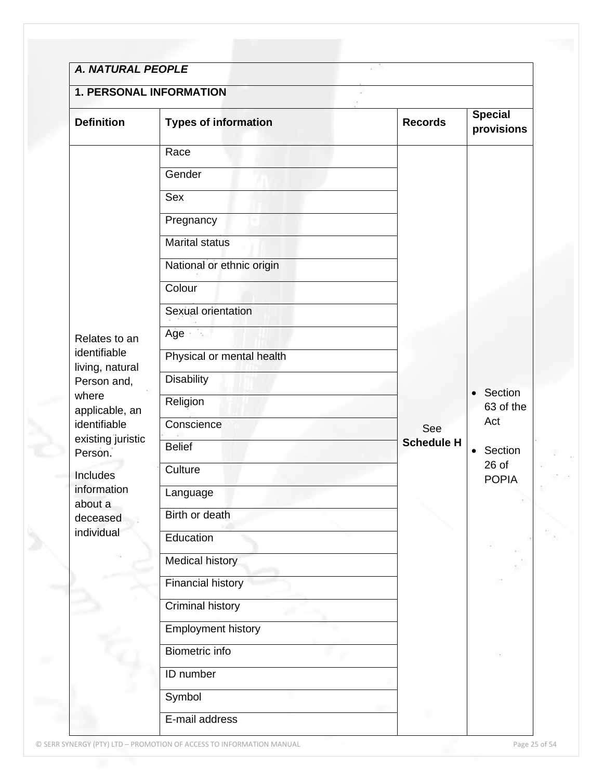| <b>1. PERSONAL INFORMATION</b>                 |                             |                   |                              |  |
|------------------------------------------------|-----------------------------|-------------------|------------------------------|--|
| <b>Definition</b>                              | <b>Types of information</b> | <b>Records</b>    | <b>Special</b><br>provisions |  |
|                                                | Race                        |                   |                              |  |
|                                                | Gender                      |                   |                              |  |
|                                                | <b>Sex</b>                  |                   |                              |  |
|                                                | Pregnancy                   |                   |                              |  |
|                                                | <b>Marital status</b>       |                   |                              |  |
|                                                | National or ethnic origin   |                   |                              |  |
|                                                | Colour                      |                   |                              |  |
|                                                | Sexual orientation          |                   |                              |  |
| Relates to an                                  | Age                         |                   |                              |  |
| identifiable<br>living, natural<br>Person and, | Physical or mental health   |                   |                              |  |
|                                                | <b>Disability</b>           |                   |                              |  |
| where<br>applicable, an                        | Religion                    |                   | • Section<br>63 of the       |  |
| identifiable                                   | Conscience                  | See               | Act                          |  |
| existing juristic<br>Person.                   | <b>Belief</b>               | <b>Schedule H</b> | • Section                    |  |
| Includes                                       | Culture                     |                   | $26$ of<br><b>POPIA</b>      |  |
| information                                    | Language                    |                   |                              |  |
| about a<br>deceased                            | Birth or death              |                   |                              |  |
| individual                                     | Education                   |                   |                              |  |
|                                                | <b>Medical history</b>      |                   |                              |  |
|                                                | <b>Financial history</b>    |                   |                              |  |
|                                                | <b>Criminal history</b>     |                   |                              |  |
|                                                | <b>Employment history</b>   |                   |                              |  |
|                                                | Biometric info              |                   |                              |  |
|                                                | ID number                   |                   |                              |  |
|                                                | Symbol                      |                   |                              |  |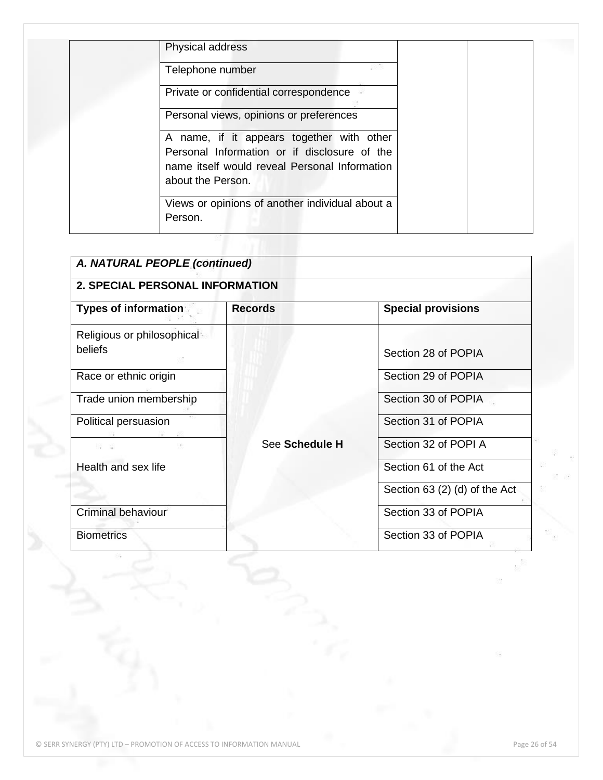| Telephone number                                |  |
|-------------------------------------------------|--|
| Private or confidential correspondence          |  |
| Personal views, opinions or preferences         |  |
| A name, if it appears together with other       |  |
| Personal Information or if disclosure of the    |  |
| name itself would reveal Personal Information   |  |
| about the Person.                               |  |
| Views or opinions of another individual about a |  |
| Person.                                         |  |

| A. NATURAL PEOPLE (continued)          |                |                               |  |  |  |
|----------------------------------------|----------------|-------------------------------|--|--|--|
| <b>2. SPECIAL PERSONAL INFORMATION</b> |                |                               |  |  |  |
| <b>Types of information</b>            | <b>Records</b> | <b>Special provisions</b>     |  |  |  |
| Religious or philosophical<br>beliefs  |                | Section 28 of POPIA           |  |  |  |
| Race or ethnic origin                  |                | Section 29 of POPIA           |  |  |  |
| Trade union membership                 |                | Section 30 of POPIA           |  |  |  |
| Political persuasion                   |                | Section 31 of POPIA           |  |  |  |
| 23 B                                   | See Schedule H | Section 32 of POPI A          |  |  |  |
| Health and sex life                    |                | Section 61 of the Act         |  |  |  |
|                                        |                | Section 63 (2) (d) of the Act |  |  |  |
| <b>Criminal behaviour</b>              |                | Section 33 of POPIA           |  |  |  |
| <b>Biometrics</b>                      |                | Section 33 of POPIA           |  |  |  |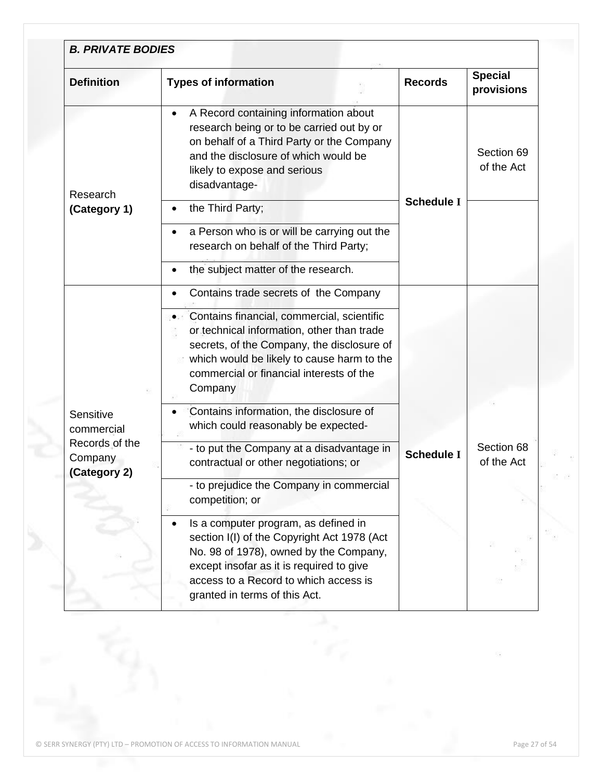| <b>Definition</b>                         | <b>Types of information</b>                                                                                                                                                                                                                         | <b>Records</b>    | <b>Special</b><br>provisions |
|-------------------------------------------|-----------------------------------------------------------------------------------------------------------------------------------------------------------------------------------------------------------------------------------------------------|-------------------|------------------------------|
| Research                                  | A Record containing information about<br>research being or to be carried out by or<br>on behalf of a Third Party or the Company<br>and the disclosure of which would be<br>likely to expose and serious<br>disadvantage-                            |                   | Section 69<br>of the Act     |
| (Category 1)                              | the Third Party;                                                                                                                                                                                                                                    | <b>Schedule I</b> |                              |
|                                           | a Person who is or will be carrying out the<br>research on behalf of the Third Party;                                                                                                                                                               |                   |                              |
|                                           | the subject matter of the research.                                                                                                                                                                                                                 |                   |                              |
|                                           | Contains trade secrets of the Company                                                                                                                                                                                                               |                   |                              |
|                                           | Contains financial, commercial, scientific<br>or technical information, other than trade<br>secrets, of the Company, the disclosure of<br>which would be likely to cause harm to the<br>commercial or financial interests of the<br>Company         |                   |                              |
| Sensitive<br>commercial                   | Contains information, the disclosure of<br>which could reasonably be expected-                                                                                                                                                                      |                   |                              |
| Records of the<br>Company<br>(Category 2) | - to put the Company at a disadvantage in<br>contractual or other negotiations; or                                                                                                                                                                  | <b>Schedule I</b> | Section 68<br>of the Act     |
|                                           | - to prejudice the Company in commercial<br>competition; or                                                                                                                                                                                         |                   |                              |
|                                           | Is a computer program, as defined in<br>section I(I) of the Copyright Act 1978 (Act<br>No. 98 of 1978), owned by the Company,<br>except insofar as it is required to give<br>access to a Record to which access is<br>granted in terms of this Act. |                   |                              |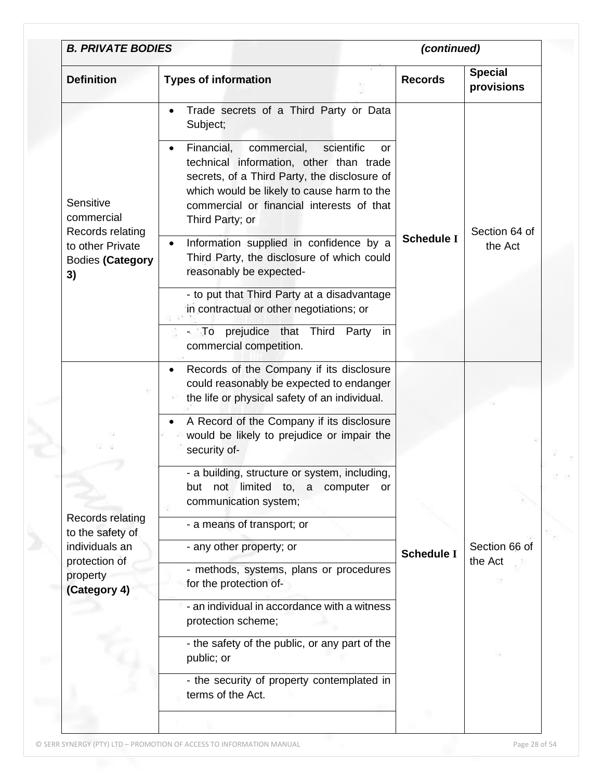| <b>B. PRIVATE BODIES</b>                          |                                                                                                                                                                                                                                                        | (continued)       |                              |  |
|---------------------------------------------------|--------------------------------------------------------------------------------------------------------------------------------------------------------------------------------------------------------------------------------------------------------|-------------------|------------------------------|--|
| <b>Definition</b>                                 | <b>Types of information</b>                                                                                                                                                                                                                            | <b>Records</b>    | <b>Special</b><br>provisions |  |
|                                                   | Trade secrets of a Third Party or Data<br>$\bullet$<br>Subject;                                                                                                                                                                                        |                   |                              |  |
| Sensitive<br>commercial<br>Records relating       | Financial,<br>commercial,<br>scientific<br>or<br>technical information, other than trade<br>secrets, of a Third Party, the disclosure of<br>which would be likely to cause harm to the<br>commercial or financial interests of that<br>Third Party; or |                   | Section 64 of                |  |
| to other Private<br><b>Bodies (Category</b><br>3) | Information supplied in confidence by a<br>Third Party, the disclosure of which could<br>reasonably be expected-                                                                                                                                       | <b>Schedule I</b> | the Act                      |  |
|                                                   | - to put that Third Party at a disadvantage<br>in contractual or other negotiations; or                                                                                                                                                                |                   |                              |  |
|                                                   | - To prejudice that Third<br>Party<br>in<br>commercial competition.                                                                                                                                                                                    |                   |                              |  |
|                                                   | Records of the Company if its disclosure<br>$\bullet$<br>could reasonably be expected to endanger<br>the life or physical safety of an individual.                                                                                                     |                   |                              |  |
|                                                   | A Record of the Company if its disclosure<br>would be likely to prejudice or impair the<br>security of-                                                                                                                                                |                   |                              |  |
|                                                   | - a building, structure or system, including,<br>not limited to, a computer<br>but<br>or<br>communication system;                                                                                                                                      |                   |                              |  |
| Records relating<br>to the safety of              | - a means of transport; or                                                                                                                                                                                                                             |                   |                              |  |
| individuals an<br>protection of                   | - any other property; or                                                                                                                                                                                                                               | <b>Schedule I</b> | Section 66 of<br>the Act     |  |
| property<br>(Category 4)                          | - methods, systems, plans or procedures<br>for the protection of-                                                                                                                                                                                      |                   |                              |  |
|                                                   | - an individual in accordance with a witness<br>protection scheme;                                                                                                                                                                                     |                   |                              |  |
|                                                   | - the safety of the public, or any part of the<br>public; or                                                                                                                                                                                           |                   |                              |  |
|                                                   | - the security of property contemplated in                                                                                                                                                                                                             |                   |                              |  |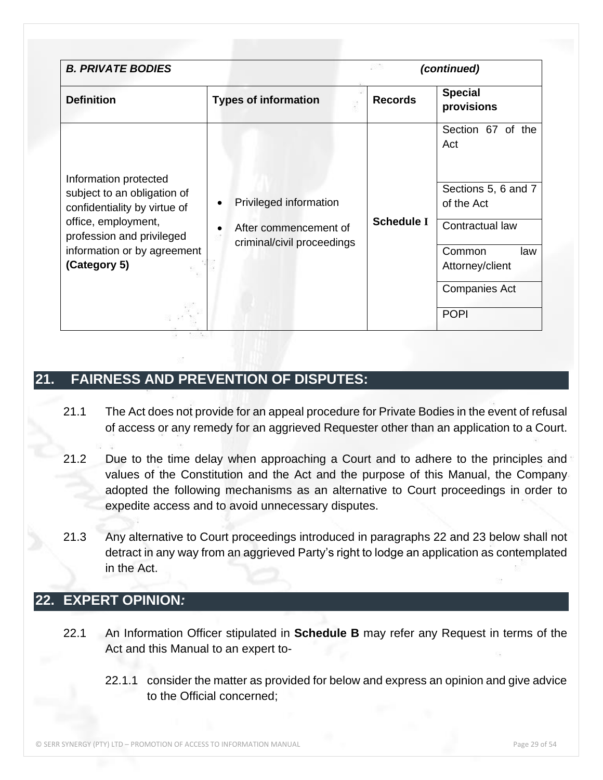| <b>B. PRIVATE BODIES</b>                                                                                                                                                                | (continued)                                                                   |                   |                                                                                                                                              |
|-----------------------------------------------------------------------------------------------------------------------------------------------------------------------------------------|-------------------------------------------------------------------------------|-------------------|----------------------------------------------------------------------------------------------------------------------------------------------|
| <b>Definition</b>                                                                                                                                                                       | <b>Types of information</b>                                                   | <b>Records</b>    | <b>Special</b><br>provisions                                                                                                                 |
| Information protected<br>subject to an obligation of<br>confidentiality by virtue of<br>office, employment,<br>profession and privileged<br>information or by agreement<br>(Category 5) | Privileged information<br>After commencement of<br>criminal/civil proceedings | <b>Schedule I</b> | Section 67 of the<br>Act<br>Sections 5, 6 and 7<br>of the Act<br>Contractual law<br>Common<br>law<br>Attorney/client<br><b>Companies Act</b> |
|                                                                                                                                                                                         |                                                                               |                   | <b>POPI</b>                                                                                                                                  |

### <span id="page-28-0"></span>**21. FAIRNESS AND PREVENTION OF DISPUTES:**

- 21.1 The Act does not provide for an appeal procedure for Private Bodies in the event of refusal of access or any remedy for an aggrieved Requester other than an application to a Court.
- 21.2 Due to the time delay when approaching a Court and to adhere to the principles and values of the Constitution and the Act and the purpose of this Manual, the Company adopted the following mechanisms as an alternative to Court proceedings in order to expedite access and to avoid unnecessary disputes.
- 21.3 Any alternative to Court proceedings introduced in paragraphs 22 and 23 below shall not detract in any way from an aggrieved Party's right to lodge an application as contemplated in the Act.

### <span id="page-28-1"></span>**22. EXPERT OPINION***:*

- 22.1 An Information Officer stipulated in **Schedule B** may refer any Request in terms of the Act and this Manual to an expert to-
	- 22.1.1 consider the matter as provided for below and express an opinion and give advice to the Official concerned;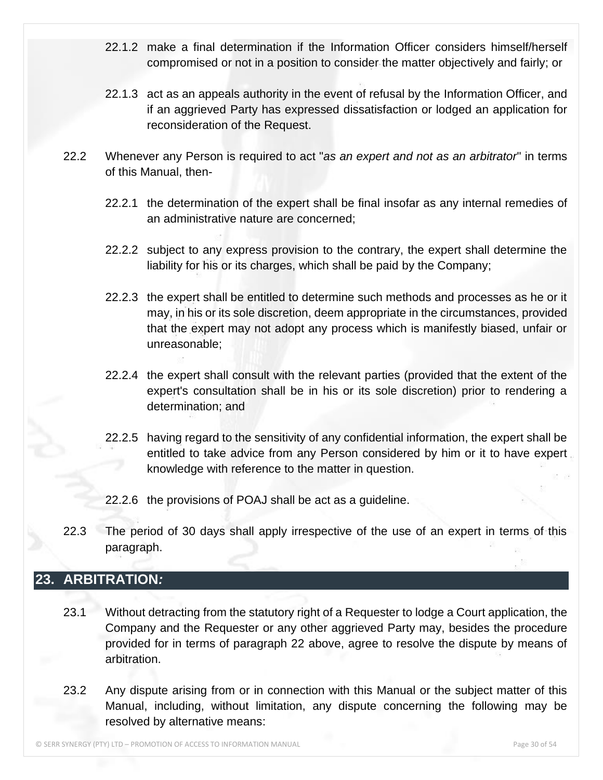- 22.1.2 make a final determination if the Information Officer considers himself/herself compromised or not in a position to consider the matter objectively and fairly; or
- 22.1.3 act as an appeals authority in the event of refusal by the Information Officer, and if an aggrieved Party has expressed dissatisfaction or lodged an application for reconsideration of the Request.
- 22.2 Whenever any Person is required to act "*as an expert and not as an arbitrator*" in terms of this Manual, then-
	- 22.2.1 the determination of the expert shall be final insofar as any internal remedies of an administrative nature are concerned;
	- 22.2.2 subject to any express provision to the contrary, the expert shall determine the liability for his or its charges, which shall be paid by the Company;
	- 22.2.3 the expert shall be entitled to determine such methods and processes as he or it may, in his or its sole discretion, deem appropriate in the circumstances, provided that the expert may not adopt any process which is manifestly biased, unfair or unreasonable;
	- 22.2.4 the expert shall consult with the relevant parties (provided that the extent of the expert's consultation shall be in his or its sole discretion) prior to rendering a determination; and
	- 22.2.5 having regard to the sensitivity of any confidential information, the expert shall be entitled to take advice from any Person considered by him or it to have expert knowledge with reference to the matter in question.
	- 22.2.6 the provisions of POAJ shall be act as a guideline.
- 22.3 The period of 30 days shall apply irrespective of the use of an expert in terms of this paragraph.

### <span id="page-29-0"></span>**23. ARBITRATION***:*

- 23.1 Without detracting from the statutory right of a Requester to lodge a Court application, the Company and the Requester or any other aggrieved Party may, besides the procedure provided for in terms of paragraph 22 above, agree to resolve the dispute by means of arbitration.
- 23.2 Any dispute arising from or in connection with this Manual or the subject matter of this Manual, including, without limitation, any dispute concerning the following may be resolved by alternative means: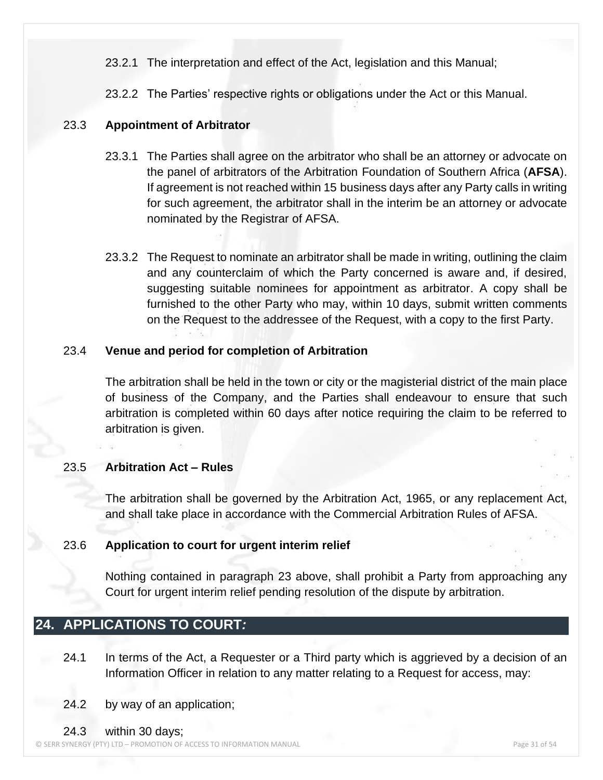- 23.2.1 The interpretation and effect of the Act, legislation and this Manual;
- 23.2.2 The Parties' respective rights or obligations under the Act or this Manual.

#### 23.3 **Appointment of Arbitrator**

- 23.3.1 The Parties shall agree on the arbitrator who shall be an attorney or advocate on the panel of arbitrators of the Arbitration Foundation of Southern Africa (**AFSA**). If agreement is not reached within 15 business days after any Party calls in writing for such agreement, the arbitrator shall in the interim be an attorney or advocate nominated by the Registrar of AFSA.
- 23.3.2 The Request to nominate an arbitrator shall be made in writing, outlining the claim and any counterclaim of which the Party concerned is aware and, if desired, suggesting suitable nominees for appointment as arbitrator. A copy shall be furnished to the other Party who may, within 10 days, submit written comments on the Request to the addressee of the Request, with a copy to the first Party.

#### 23.4 **Venue and period for completion of Arbitration**

The arbitration shall be held in the town or city or the magisterial district of the main place of business of the Company, and the Parties shall endeavour to ensure that such arbitration is completed within 60 days after notice requiring the claim to be referred to arbitration is given.

#### 23.5 **Arbitration Act – Rules**

The arbitration shall be governed by the Arbitration Act, 1965, or any replacement Act, and shall take place in accordance with the Commercial Arbitration Rules of AFSA.

#### 23.6 **Application to court for urgent interim relief**

Nothing contained in paragraph 23 above, shall prohibit a Party from approaching any Court for urgent interim relief pending resolution of the dispute by arbitration.

#### <span id="page-30-0"></span>**24. APPLICATIONS TO COURT***:*

- 24.1 In terms of the Act, a Requester or a Third party which is aggrieved by a decision of an Information Officer in relation to any matter relating to a Request for access, may:
- 24.2 by way of an application;
- 24.3 within 30 days;

© SERR SYNERGY (PTY) LTD – PROMOTION OF ACCESS TO INFORMATION MANUAL Page 31 of 54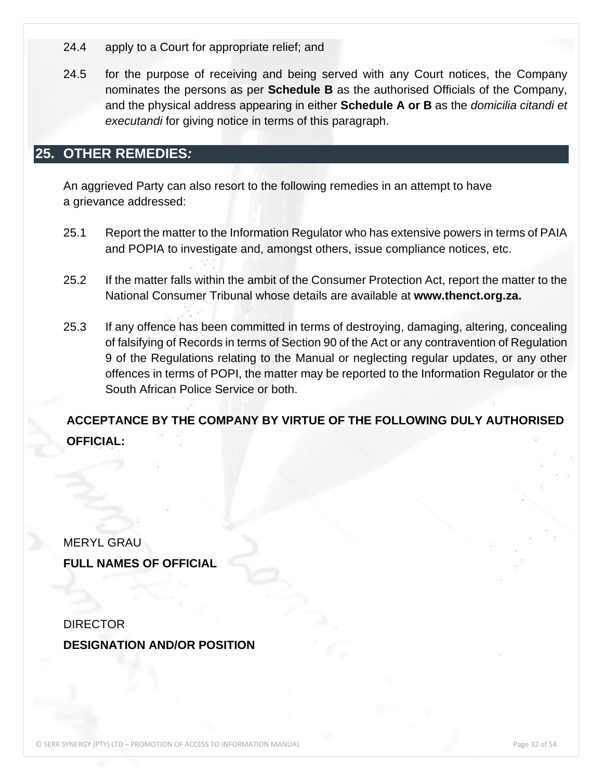- 24.4 apply to a Court for appropriate relief; and
- 24.5 for the purpose of receiving and being served with any Court notices, the Company nominates the persons as per **Schedule B** as the authorised Officials of the Company, and the physical address appearing in either **Schedule A or B** as the *domicilia citandi et executandi* for giving notice in terms of this paragraph.

### <span id="page-31-0"></span>**25. OTHER REMEDIES***:*

An aggrieved Party can also resort to the following remedies in an attempt to have a grievance addressed:

- 25.1 Report the matter to the Information Regulator who has extensive powers in terms of PAIA and POPIA to investigate and, amongst others, issue compliance notices, etc.
- 25.2 If the matter falls within the ambit of the Consumer Protection Act, report the matter to the National Consumer Tribunal whose details are available at **www.thenct.org.za.**
- 25.3 If any offence has been committed in terms of destroying, damaging, altering, concealing of falsifying of Records in terms of Section 90 of the Act or any contravention of Regulation 9 of the Regulations relating to the Manual or neglecting regular updates, or any other offences in terms of POPI, the matter may be reported to the Information Regulator or the South African Police Service or both.

### **ACCEPTANCE BY THE COMPANY BY VIRTUE OF THE FOLLOWING DULY AUTHORISED OFFICIAL:**

MERYL GRAU **FULL NAMES OF OFFICIAL**

**DIRECTOR DESIGNATION AND/OR POSITION**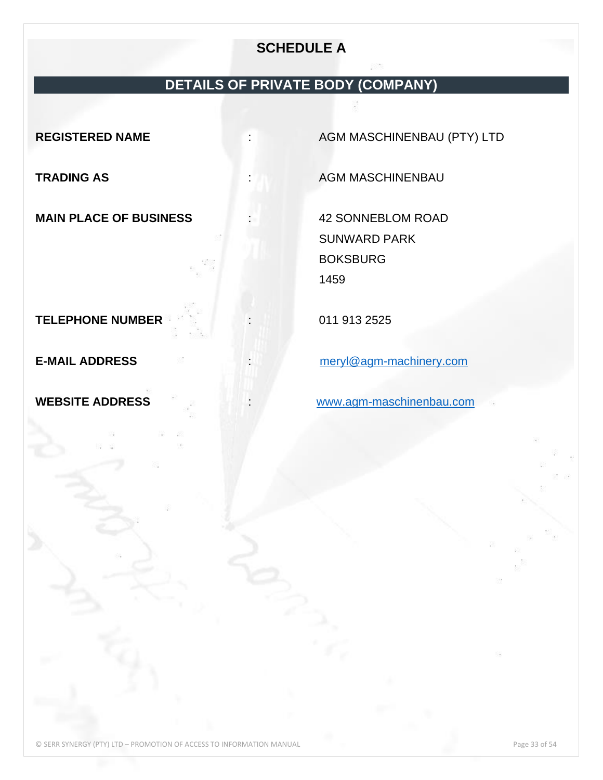### **SCHEDULE A**

# **DETAILS OF PRIVATE BODY (COMPANY)**

**MAIN PLACE OF BUSINESS** : 42 SONNEBLOM ROAD

<span id="page-32-0"></span>**REGISTERED NAME** : AGM MASCHINENBAU (PTY) LTD

**TRADING AS TRADING AS**  $\cdot$  AGM MASCHINENBAU

SUNWARD PARK **BOKSBURG** 1459

**TELEPHONE NUMBER** : 011 913 2525

**E-MAIL ADDRESS** :[meryl@agm-machinery.com](mailto:meryl@agm-machinery.com)

**WEBSITE ADDRESS** :[www.agm-maschinenbau.com](http://www.agm-maschinenbau.com/)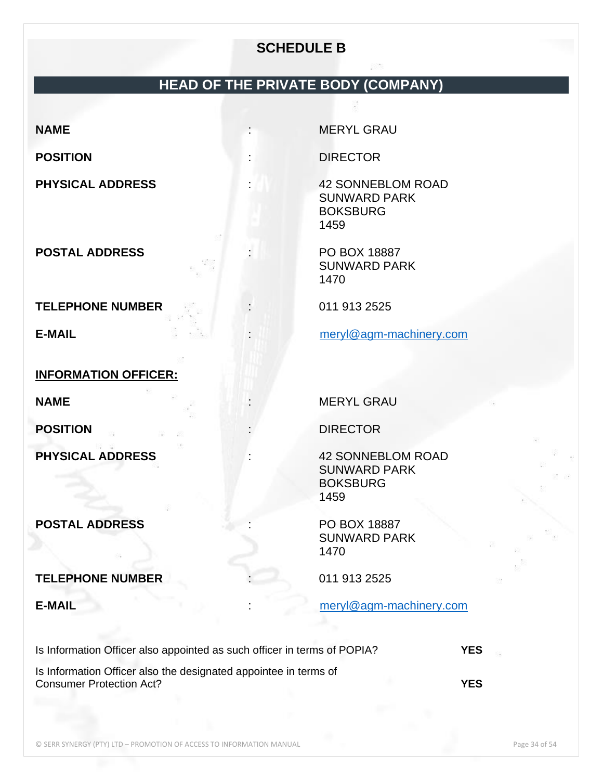### **SCHEDULE B**

# **HEAD OF THE PRIVATE BODY (COMPANY)**

**POSTAL ADDRESS POSTAL ADDRESS 1999** 

**TELEPHONE NUMBER** : 011 913 2525

**INFORMATION OFFICER:**

**POSTAL ADDRESS** : PO BOX 18887

#### **TELEPHONE NUMBER** : 011 913 2525

<span id="page-33-0"></span>**NAME** : MERYL GRAU

**POSITION** : DIRECTOR

**PHYSICAL ADDRESS** : 42 SONNEBLOM ROAD SUNWARD PARK BOKSBURG 1459

> SUNWARD PARK 1470

**E-MAIL E-MAIL E-MAIL E-MAIL E-MAIL E-MAIL E-MAIL E-MAIL E-MAIL E-MAIL E-MAIL E-MAIL E-MAIL E-MAIL E-MAIL E-MAIL E-MAIL E-MAIL E-MAIL E-MAIL E-MAIL E-MAIL E-MAIL E-MAIL E-MAI** 

**NAME** : MERYL GRAU

**POSITION** : DIRECTOR

**PHYSICAL ADDRESS** : 42 SONNEBLOM ROAD SUNWARD PARK **BOKSBURG** 1459

> SUNWARD PARK 1470

**E-MAIL** : [meryl@agm-machinery.com](mailto:meryl@agm-machinery.com)

| Is Information Officer also appointed as such officer in terms of POPIA? | <b>YES</b> |
|--------------------------------------------------------------------------|------------|
| Is Information Officer also the designated appointee in terms of         |            |

Consumer Protection Act? **YES**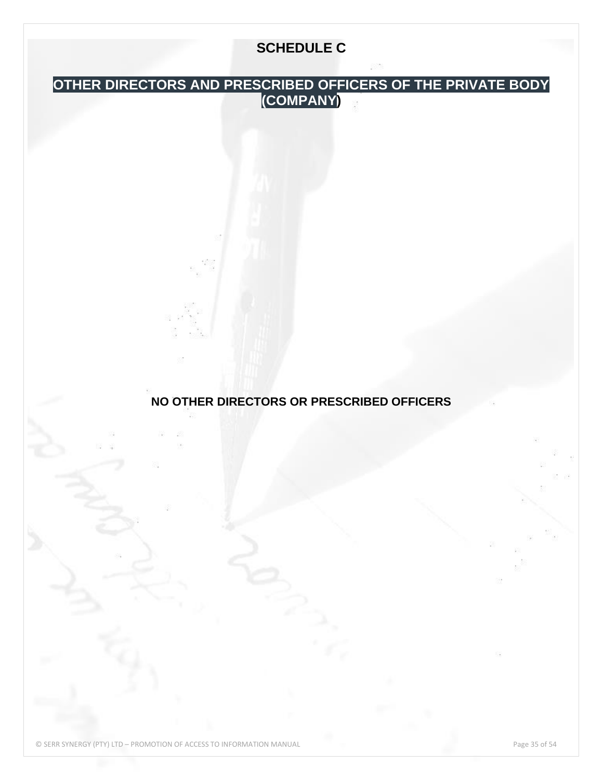# **SCHEDULE C**

### <span id="page-34-0"></span>**OTHER DIRECTORS AND PRESCRIBED OFFICERS OF THE PRIVATE BODY (COMPANY)**

**NO OTHER DIRECTORS OR PRESCRIBED OFFICERS**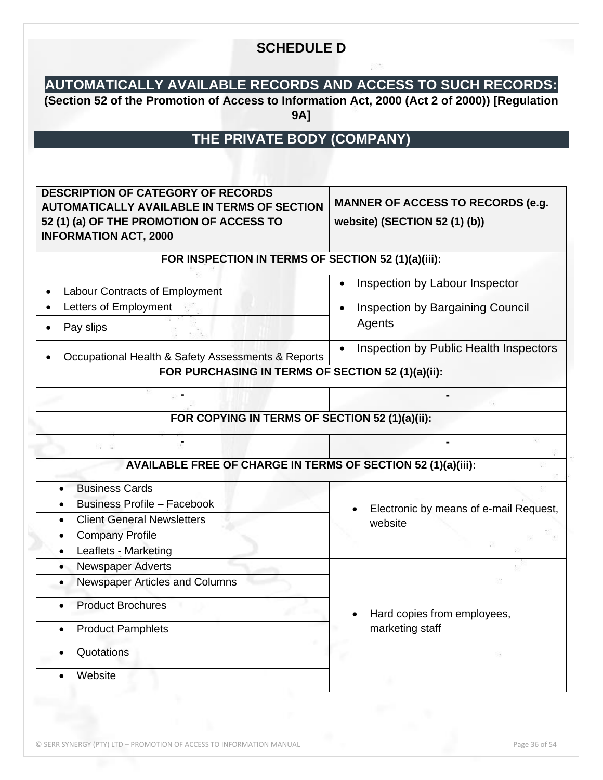### **SCHEDULE D**

# <span id="page-35-0"></span>**AUTOMATICALLY AVAILABLE RECORDS AND ACCESS TO SUCH RECORDS:**

**(Section 52 of the Promotion of Access to Information Act, 2000 (Act 2 of 2000)) [Regulation 9A]**

# **THE PRIVATE BODY (COMPANY)**

<span id="page-35-1"></span>

| <b>DESCRIPTION OF CATEGORY OF RECORDS</b><br><b>AUTOMATICALLY AVAILABLE IN TERMS OF SECTION</b><br>52 (1) (a) OF THE PROMOTION OF ACCESS TO<br><b>INFORMATION ACT, 2000</b> | <b>MANNER OF ACCESS TO RECORDS (e.g.</b><br>website) (SECTION 52 (1) (b)) |
|-----------------------------------------------------------------------------------------------------------------------------------------------------------------------------|---------------------------------------------------------------------------|
| FOR INSPECTION IN TERMS OF SECTION 52 (1)(a)(iii):                                                                                                                          |                                                                           |
| Labour Contracts of Employment                                                                                                                                              | Inspection by Labour Inspector                                            |
| Letters of Employment<br>$\bullet$<br>Pay slips                                                                                                                             | Inspection by Bargaining Council<br>$\bullet$<br>Agents                   |
| Occupational Health & Safety Assessments & Reports                                                                                                                          | Inspection by Public Health Inspectors<br>$\bullet$                       |
| FOR PURCHASING IN TERMS OF SECTION 52 (1)(a)(ii):                                                                                                                           |                                                                           |
|                                                                                                                                                                             |                                                                           |
| FOR COPYING IN TERMS OF SECTION 52 (1)(a)(ii):                                                                                                                              |                                                                           |
| AVAILABLE FREE OF CHARGE IN TERMS OF SECTION 52 (1)(a)(iii):                                                                                                                |                                                                           |
| <b>Business Cards</b>                                                                                                                                                       |                                                                           |
| <b>Business Profile - Facebook</b><br>$\bullet$                                                                                                                             | Electronic by means of e-mail Request,                                    |
| <b>Client General Newsletters</b><br>$\bullet$                                                                                                                              | website                                                                   |
| <b>Company Profile</b><br>$\bullet$                                                                                                                                         |                                                                           |
| Leaflets - Marketing<br>$\bullet$                                                                                                                                           |                                                                           |
| Newspaper Adverts<br>$\bullet$                                                                                                                                              |                                                                           |
| Newspaper Articles and Columns                                                                                                                                              |                                                                           |
| <b>Product Brochures</b>                                                                                                                                                    | Hard copies from employees,                                               |
| <b>Product Pamphlets</b>                                                                                                                                                    | marketing staff                                                           |
| Quotations                                                                                                                                                                  |                                                                           |
| Website                                                                                                                                                                     |                                                                           |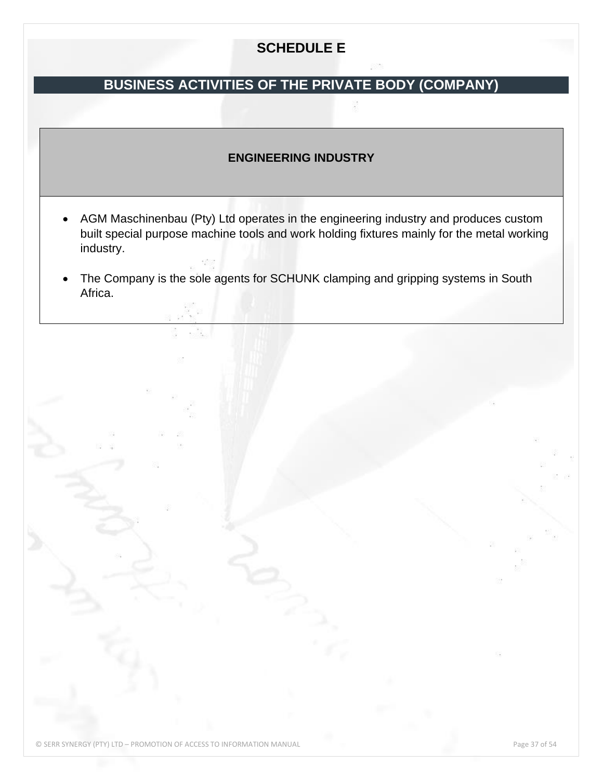# **SCHEDULE E**

# **BUSINESS ACTIVITIES OF THE PRIVATE BODY (COMPANY)**

#### **ENGINEERING INDUSTRY**

- AGM Maschinenbau (Pty) Ltd operates in the engineering industry and produces custom built special purpose machine tools and work holding fixtures mainly for the metal working industry.
- The Company is the sole agents for SCHUNK clamping and gripping systems in South Africa.

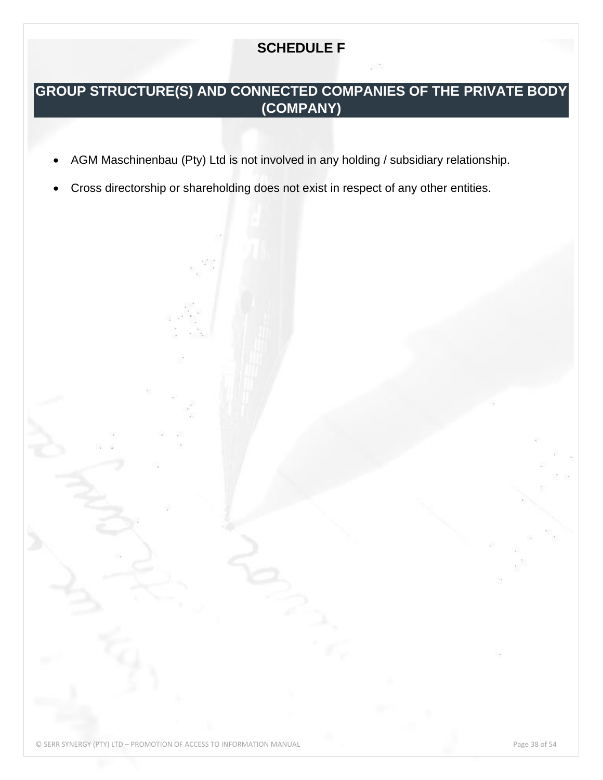# **SCHEDULE F**

# <span id="page-37-0"></span>**GROUP STRUCTURE(S) AND CONNECTED COMPANIES OF THE PRIVATE BODY (COMPANY)**

- AGM Maschinenbau (Pty) Ltd is not involved in any holding / subsidiary relationship.
- Cross directorship or shareholding does not exist in respect of any other entities.

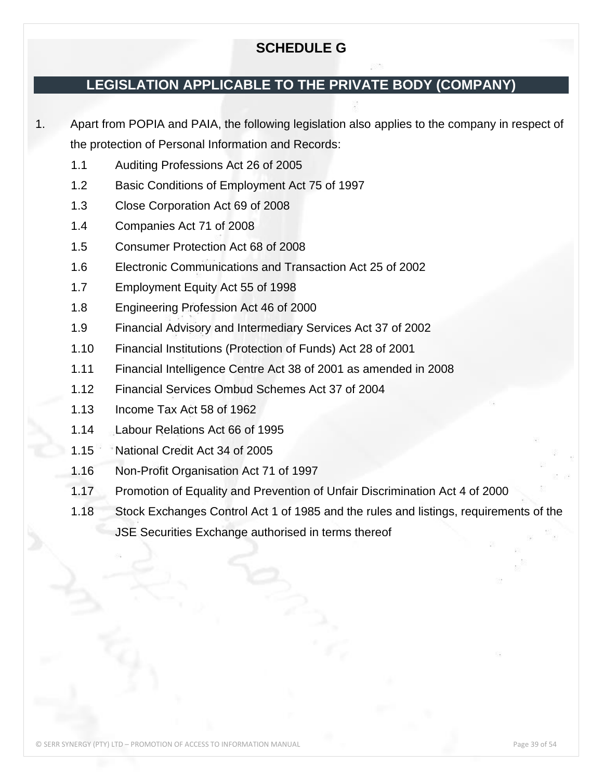### **SCHEDULE G**

### <span id="page-38-0"></span>**LEGISLATION APPLICABLE TO THE PRIVATE BODY (COMPANY)**

1. Apart from POPIA and PAIA, the following legislation also applies to the company in respect of the protection of Personal Information and Records:

- 1.1 Auditing Professions Act 26 of 2005
- 1.2 Basic Conditions of Employment Act 75 of 1997
- 1.3 Close Corporation Act 69 of 2008
- 1.4 Companies Act 71 of 2008
- 1.5 Consumer Protection Act 68 of 2008
- 1.6 Electronic Communications and Transaction Act 25 of 2002
- 1.7 Employment Equity Act 55 of 1998
- 1.8 Engineering Profession Act 46 of 2000
- 1.9 Financial Advisory and Intermediary Services Act 37 of 2002
- 1.10 Financial Institutions (Protection of Funds) Act 28 of 2001
- 1.11 Financial Intelligence Centre Act 38 of 2001 as amended in 2008
- 1.12 Financial Services Ombud Schemes Act 37 of 2004
- 1.13 Income Tax Act 58 of 1962
- 1.14 Labour Relations Act 66 of 1995
- 1.15 National Credit Act 34 of 2005
- 1.16 Non-Profit Organisation Act 71 of 1997
- 1.17 Promotion of Equality and Prevention of Unfair Discrimination Act 4 of 2000
- 1.18 Stock Exchanges Control Act 1 of 1985 and the rules and listings, requirements of the JSE Securities Exchange authorised in terms thereof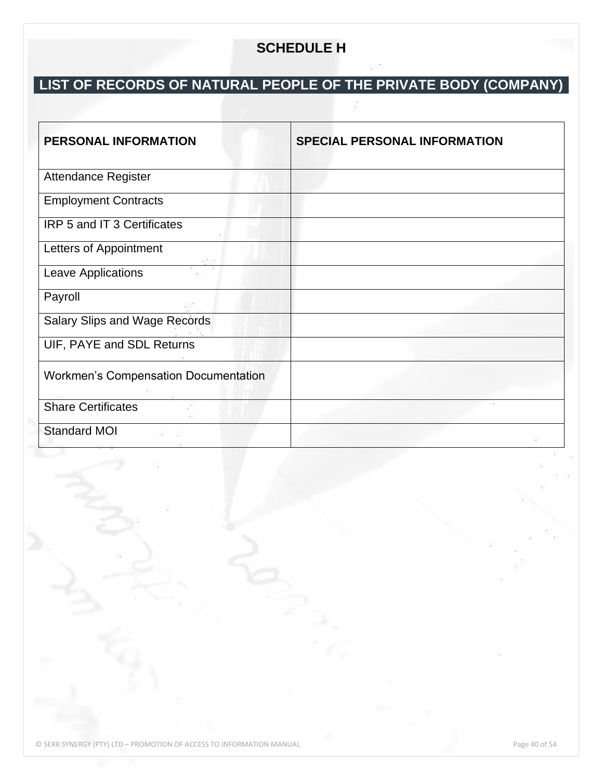# **SCHEDULE H**

# <span id="page-39-0"></span>**LIST OF RECORDS OF NATURAL PEOPLE OF THE PRIVATE BODY (COMPANY)**

| <b>PERSONAL INFORMATION</b>                 | <b>SPECIAL PERSONAL INFORMATION</b> |
|---------------------------------------------|-------------------------------------|
| <b>Attendance Register</b>                  |                                     |
| <b>Employment Contracts</b>                 |                                     |
| IRP 5 and IT 3 Certificates                 |                                     |
| Letters of Appointment                      |                                     |
| Leave Applications                          |                                     |
| Payroll                                     |                                     |
| <b>Salary Slips and Wage Records</b>        |                                     |
| UIF, PAYE and SDL Returns                   |                                     |
| <b>Workmen's Compensation Documentation</b> |                                     |
| <b>Share Certificates</b>                   |                                     |
| <b>Standard MOI</b>                         |                                     |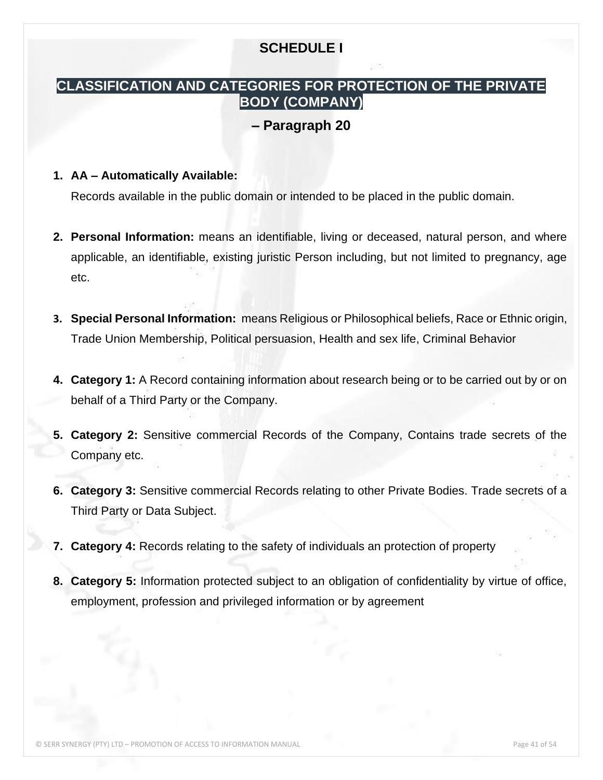### **SCHEDULE I**

#### <span id="page-40-0"></span>**CLASSIFICATION AND CATEGORIES FOR PROTECTION OF THE PRIVATE BODY (COMPANY)**

#### **– Paragraph 20**

#### **1. AA – Automatically Available:**

Records available in the public domain or intended to be placed in the public domain.

- **2. Personal Information:** means an identifiable, living or deceased, natural person, and where applicable, an identifiable, existing juristic Person including, but not limited to pregnancy, age etc.
- **3. Special Personal Information:** means Religious or Philosophical beliefs, Race or Ethnic origin, Trade Union Membership, Political persuasion, Health and sex life, Criminal Behavior
- **4. Category 1:** A Record containing information about research being or to be carried out by or on behalf of a Third Party or the Company.
- **5. Category 2:** Sensitive commercial Records of the Company, Contains trade secrets of the Company etc.
- **6. Category 3:** Sensitive commercial Records relating to other Private Bodies. Trade secrets of a Third Party or Data Subject.
- **7. Category 4:** Records relating to the safety of individuals an protection of property
- **8. Category 5:** Information protected subject to an obligation of confidentiality by virtue of office, employment, profession and privileged information or by agreement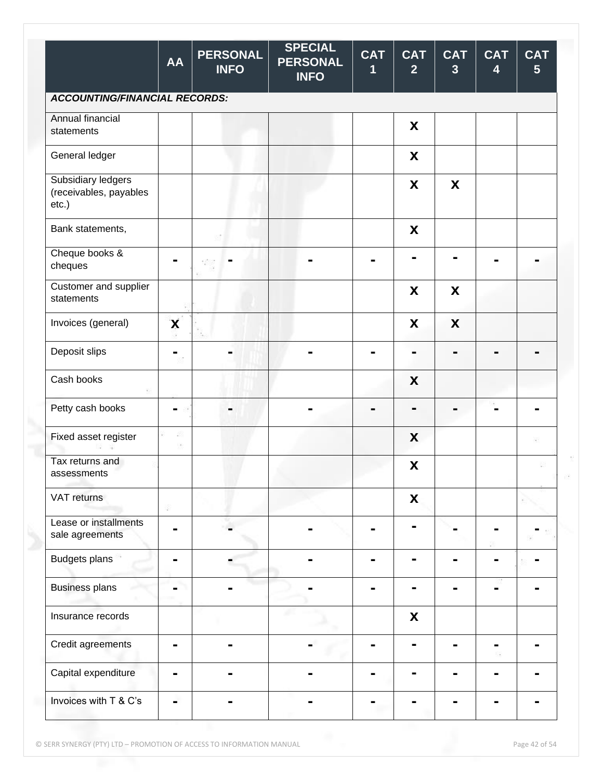|                                                       | <b>AA</b> | <b>PERSONAL</b><br><b>INFO</b> | <b>SPECIAL</b><br><b>PERSONAL</b><br><b>INFO</b> | <b>CAT</b><br>1 | <b>CAT</b><br>$\overline{2}$ | <b>CAT</b><br>$\overline{\mathbf{3}}$ | <b>CAT</b><br>$\overline{\mathbf{4}}$ | <b>CAT</b><br>$5\phantom{1}$ |
|-------------------------------------------------------|-----------|--------------------------------|--------------------------------------------------|-----------------|------------------------------|---------------------------------------|---------------------------------------|------------------------------|
| <b>ACCOUNTING/FINANCIAL RECORDS:</b>                  |           |                                |                                                  |                 |                              |                                       |                                       |                              |
| Annual financial<br>statements                        |           |                                |                                                  |                 | X                            |                                       |                                       |                              |
| General ledger                                        |           |                                |                                                  |                 | $\boldsymbol{\mathsf{X}}$    |                                       |                                       |                              |
| Subsidiary ledgers<br>(receivables, payables<br>etc.) |           |                                |                                                  |                 | X                            | X                                     |                                       |                              |
| Bank statements,                                      |           |                                |                                                  |                 | X                            |                                       |                                       |                              |
| Cheque books &<br>cheques                             |           |                                |                                                  |                 |                              |                                       |                                       |                              |
| Customer and supplier<br>statements                   |           |                                |                                                  |                 | X                            | X                                     |                                       |                              |
| Invoices (general)                                    | X         |                                |                                                  |                 | X                            | X                                     |                                       |                              |
| Deposit slips                                         | -         |                                |                                                  |                 | -                            |                                       |                                       |                              |
| Cash books                                            |           |                                |                                                  |                 | X                            |                                       |                                       |                              |
| Petty cash books                                      | -         |                                |                                                  |                 | $\blacksquare$               |                                       |                                       |                              |
| Fixed asset register                                  | 猕         |                                |                                                  |                 | X                            |                                       |                                       | 18                           |
| Tax returns and<br>assessments                        |           |                                |                                                  |                 | $\pmb{\mathsf{X}}$           |                                       |                                       |                              |
| VAT returns                                           |           |                                |                                                  |                 | X                            |                                       |                                       |                              |
| Lease or installments<br>sale agreements              |           |                                |                                                  |                 | $\blacksquare$               |                                       |                                       |                              |
| <b>Budgets plans</b>                                  |           |                                |                                                  |                 |                              |                                       |                                       |                              |
| <b>Business plans</b>                                 |           |                                |                                                  |                 | $\blacksquare$               | -                                     |                                       |                              |
| Insurance records                                     |           |                                |                                                  |                 | $\boldsymbol{\mathsf{X}}$    |                                       |                                       |                              |
| Credit agreements                                     |           |                                |                                                  |                 | $\blacksquare$               |                                       |                                       |                              |
| Capital expenditure                                   |           |                                |                                                  |                 | н                            |                                       |                                       |                              |
| Invoices with T & C's                                 |           |                                |                                                  |                 |                              |                                       |                                       |                              |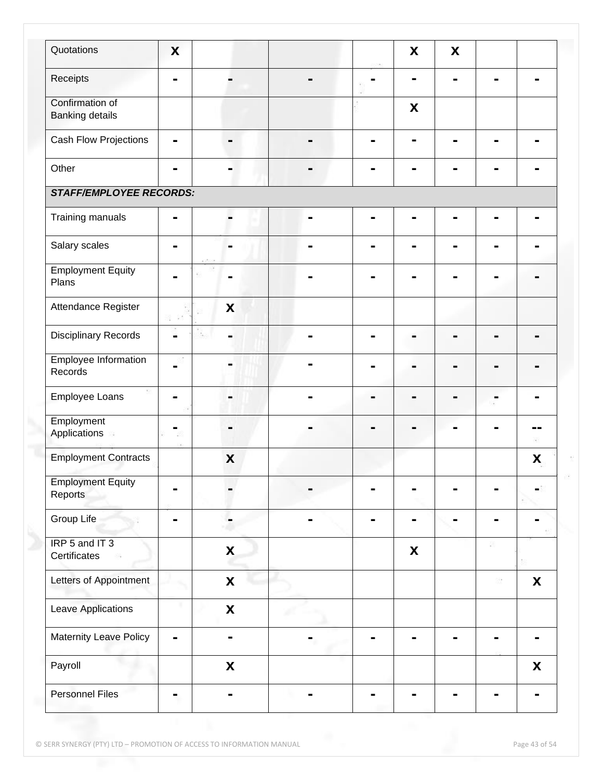| Quotations                                | X              |                           |    | X                         | X |   |         |
|-------------------------------------------|----------------|---------------------------|----|---------------------------|---|---|---------|
| Receipts                                  | $\blacksquare$ |                           |    |                           |   |   |         |
| Confirmation of<br><b>Banking details</b> |                |                           |    | $\boldsymbol{\mathsf{X}}$ |   |   |         |
| Cash Flow Projections                     | $\blacksquare$ |                           |    |                           |   |   |         |
| Other                                     |                |                           |    |                           |   |   |         |
| <b>STAFF/EMPLOYEE RECORDS:</b>            |                |                           |    |                           |   |   |         |
| Training manuals                          | $\blacksquare$ |                           |    |                           |   |   |         |
| Salary scales                             | ۰              |                           |    |                           |   |   |         |
| <b>Employment Equity</b><br>Plans         |                |                           |    |                           |   |   |         |
| Attendance Register                       | 52.            | X                         |    |                           |   |   |         |
| <b>Disciplinary Records</b>               | -              |                           |    |                           |   |   |         |
| Employee Information<br>Records           | ۰              |                           |    |                           |   |   |         |
| Employee Loans                            | -              | ۰                         | Ξ. |                           |   | ۰ |         |
| Employment<br>Applications                | ۰              |                           |    |                           |   |   | --<br>ĸ |
| <b>Employment Contracts</b>               |                | X                         |    |                           |   |   | X       |
| <b>Employment Equity</b><br>Reports       | -              |                           |    |                           |   |   |         |
| Group Life                                |                |                           |    |                           |   |   |         |
| IRP 5 and IT 3<br>Certificates            |                | $\boldsymbol{\mathsf{X}}$ |    | $\boldsymbol{\mathsf{X}}$ |   |   |         |
| Letters of Appointment                    |                | $\pmb{\mathsf{X}}$        |    |                           |   | 级 | X       |
| Leave Applications                        |                | $\mathbf x$               |    |                           |   |   |         |
| Maternity Leave Policy                    | $\blacksquare$ |                           |    |                           |   |   |         |
| Payroll                                   |                | $\boldsymbol{\mathsf{X}}$ |    |                           |   |   | X       |
| <b>Personnel Files</b>                    |                |                           |    |                           |   |   |         |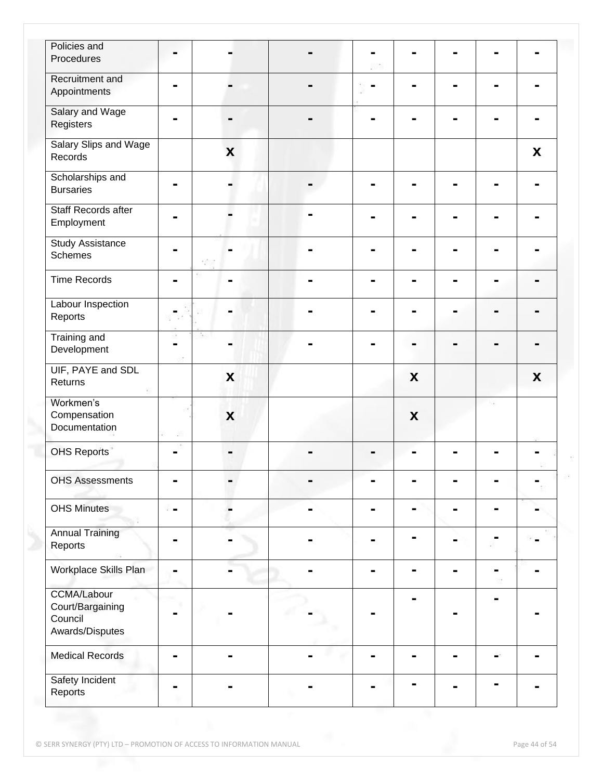| Policies and                 |                |                           |   |   |                |   |
|------------------------------|----------------|---------------------------|---|---|----------------|---|
| Procedures                   |                |                           |   |   |                |   |
|                              |                |                           |   |   |                |   |
| Recruitment and              | -              |                           |   |   |                |   |
| Appointments                 |                |                           |   |   |                |   |
| Salary and Wage              |                |                           |   |   |                |   |
| Registers                    |                |                           |   |   |                |   |
| <b>Salary Slips and Wage</b> |                |                           |   |   |                |   |
| Records                      |                | X                         |   |   |                | X |
| Scholarships and             |                |                           |   |   |                |   |
| <b>Bursaries</b>             |                |                           |   |   |                |   |
|                              |                |                           |   |   |                |   |
| Staff Records after          |                |                           |   |   |                |   |
| Employment                   |                |                           |   |   |                |   |
| <b>Study Assistance</b>      |                |                           |   |   |                |   |
| <b>Schemes</b>               |                |                           |   |   | н              |   |
|                              |                |                           |   |   |                |   |
| <b>Time Records</b>          |                |                           |   |   | $\blacksquare$ |   |
|                              |                |                           |   |   |                |   |
| Labour Inspection            |                |                           |   |   |                |   |
| Reports                      |                |                           |   |   |                |   |
| <b>Training and</b>          |                |                           |   |   |                |   |
| Development                  |                |                           |   |   |                |   |
| UIF, PAYE and SDL            |                |                           |   |   |                |   |
| Returns                      |                | X                         |   | X |                | X |
|                              |                |                           |   |   |                |   |
| Workmen's                    |                |                           |   |   |                |   |
| Compensation                 |                | $\boldsymbol{\mathsf{x}}$ |   | X |                |   |
| Documentation                |                |                           |   |   |                |   |
| <b>OHS Reports</b>           |                |                           |   |   |                |   |
|                              |                |                           |   |   |                |   |
| <b>OHS Assessments</b>       |                |                           |   |   |                |   |
|                              |                |                           |   |   |                |   |
| <b>OHS Minutes</b>           | $\blacksquare$ |                           | - |   | ۰              |   |
|                              |                |                           |   |   |                |   |
| <b>Annual Training</b>       |                |                           |   |   |                |   |
| Reports                      |                |                           | ۰ |   |                |   |
|                              |                |                           |   |   |                |   |
| Workplace Skills Plan        |                |                           |   |   |                |   |
|                              |                |                           |   |   |                |   |
| <b>CCMA/Labour</b>           |                |                           |   | - | $\blacksquare$ |   |
| Court/Bargaining<br>Council  |                |                           |   |   |                |   |
| Awards/Disputes              |                |                           |   |   |                |   |
|                              |                |                           |   |   |                |   |
| <b>Medical Records</b>       | -              |                           |   |   |                |   |
|                              |                |                           |   |   |                |   |
| Safety Incident              |                |                           |   |   |                |   |
| Reports                      |                |                           |   |   |                |   |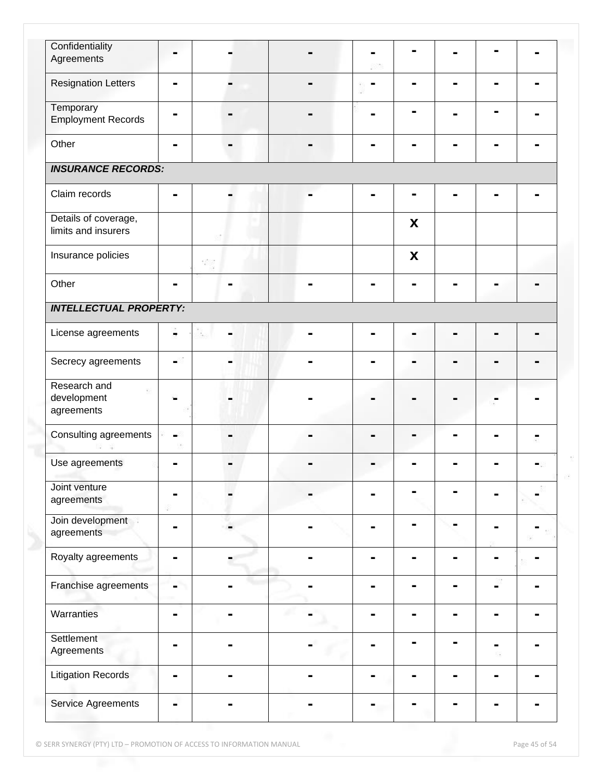| Confidentiality                             |                |     |   |   |  |  |
|---------------------------------------------|----------------|-----|---|---|--|--|
| Agreements                                  |                |     |   |   |  |  |
| <b>Resignation Letters</b>                  | ь              |     |   |   |  |  |
| Temporary                                   |                |     |   |   |  |  |
| <b>Employment Records</b>                   |                |     |   |   |  |  |
| Other                                       |                |     | - |   |  |  |
| <b>INSURANCE RECORDS:</b>                   |                |     |   |   |  |  |
| Claim records                               |                |     |   |   |  |  |
| Details of coverage,<br>limits and insurers |                |     |   | X |  |  |
| Insurance policies                          |                | 320 |   | X |  |  |
| Other                                       | ۰              |     |   |   |  |  |
| <b>INTELLECTUAL PROPERTY:</b>               |                |     |   |   |  |  |
| License agreements                          | ۰              |     |   |   |  |  |
| Secrecy agreements                          |                |     |   |   |  |  |
| Research and<br>development<br>agreements   |                |     |   |   |  |  |
| Consulting agreements                       |                |     |   |   |  |  |
| Use agreements                              |                |     |   |   |  |  |
| Joint venture<br>agreements                 |                |     |   |   |  |  |
| Join development<br>agreements              |                |     |   |   |  |  |
| Royalty agreements                          | ۰              |     |   |   |  |  |
| Franchise agreements                        | -              |     |   |   |  |  |
| Warranties                                  | $\blacksquare$ |     |   |   |  |  |
| Settlement<br>Agreements                    |                |     |   |   |  |  |
| <b>Litigation Records</b>                   | ۰              |     |   |   |  |  |
| Service Agreements                          | -              |     |   |   |  |  |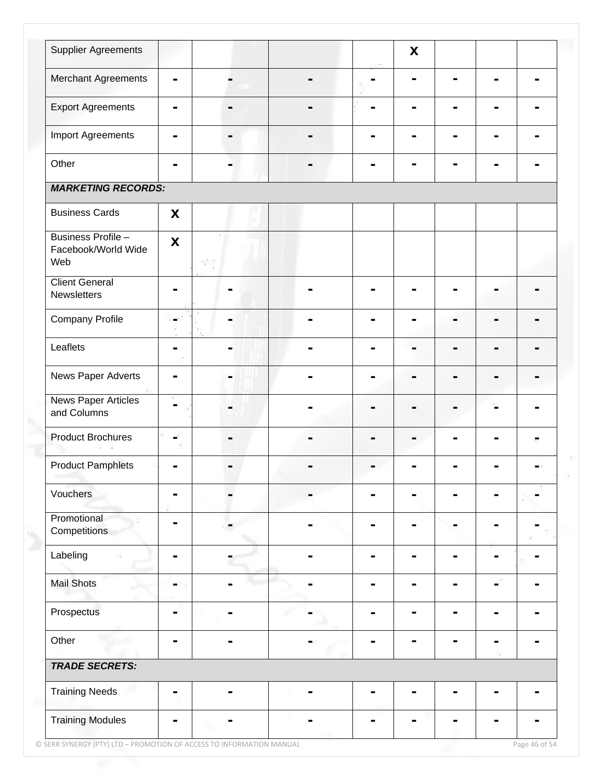| <b>Supplier Agreements</b>                       |                           |                |   | $\boldsymbol{\mathsf{X}}$ |                |                |   |
|--------------------------------------------------|---------------------------|----------------|---|---------------------------|----------------|----------------|---|
| Merchant Agreements                              | $\blacksquare$            |                | - |                           | $\blacksquare$ | $\blacksquare$ | - |
| <b>Export Agreements</b>                         | $\blacksquare$            | $\blacksquare$ |   |                           | ۰              | ۰              |   |
| Import Agreements                                | $\blacksquare$            |                |   |                           |                |                |   |
| Other                                            |                           |                |   |                           |                |                |   |
| <b>MARKETING RECORDS:</b>                        |                           |                |   |                           |                |                |   |
| <b>Business Cards</b>                            | X                         |                |   |                           |                |                |   |
| Business Profile -<br>Facebook/World Wide<br>Web | $\boldsymbol{\mathsf{X}}$ | 382            |   |                           |                |                |   |
| <b>Client General</b><br>Newsletters             |                           |                |   |                           |                |                |   |
| <b>Company Profile</b>                           | Ξ.                        |                |   |                           |                | -              |   |
| Leaflets                                         | -                         |                |   |                           |                |                |   |
| News Paper Adverts                               | $\blacksquare$            |                |   |                           |                |                |   |
| <b>News Paper Articles</b><br>and Columns        | ۰                         | ۰              |   |                           |                |                |   |
| <b>Product Brochures</b>                         | -                         |                |   |                           |                |                |   |
| <b>Product Pamphlets</b>                         |                           |                |   |                           |                |                |   |
| Vouchers                                         | $\blacksquare$            |                |   |                           |                |                |   |
| Promotional<br>Competitions                      |                           |                |   |                           |                |                |   |
| Labeling                                         | Ξ.                        |                |   |                           |                |                |   |
| <b>Mail Shots</b>                                |                           |                |   |                           |                |                |   |
| Prospectus                                       | Ξ.                        |                |   |                           |                |                |   |
| Other                                            | $\blacksquare$            |                |   |                           |                |                |   |
| <b>TRADE SECRETS:</b>                            |                           |                |   |                           |                |                |   |
| <b>Training Needs</b>                            | $\blacksquare$            |                |   |                           |                |                |   |
| <b>Training Modules</b>                          |                           |                |   |                           |                |                |   |

© SERR SYNERGY (PTY) LTD – PROMOTION OF ACCESS TO INFORMATION MANUAL Page 46 of 54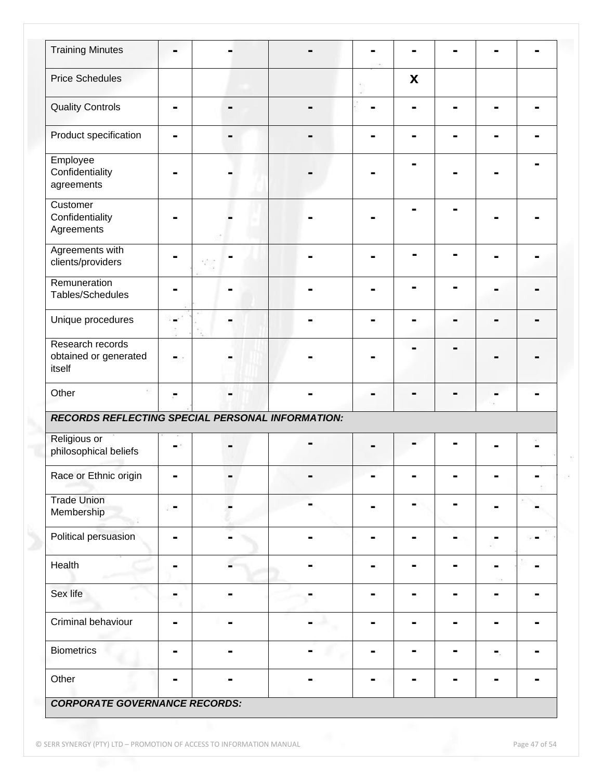| <b>Training Minutes</b>                             |                |                |                |    |                |                |                |
|-----------------------------------------------------|----------------|----------------|----------------|----|----------------|----------------|----------------|
| <b>Price Schedules</b>                              |                |                |                | X  |                |                |                |
| <b>Quality Controls</b>                             | $\blacksquare$ |                |                |    |                | ۰              |                |
| Product specification                               |                |                |                |    |                |                |                |
| Employee<br>Confidentiality<br>agreements           |                |                |                |    |                |                |                |
| Customer<br>Confidentiality<br>Agreements           |                |                |                |    |                |                |                |
| Agreements with<br>clients/providers                |                |                |                |    |                |                |                |
| Remuneration<br>Tables/Schedules                    |                |                |                |    |                |                |                |
| Unique procedures                                   | -              |                |                |    |                | ۰              |                |
| Research records<br>obtained or generated<br>itself | -              |                |                |    |                |                |                |
| Other                                               | ۰              |                |                |    |                |                |                |
| RECORDS REFLECTING SPECIAL PERSONAL INFORMATION:    |                |                |                |    |                |                |                |
| Religious or<br>philosophical beliefs               |                |                |                |    |                |                |                |
| Race or Ethnic origin                               |                |                |                |    |                |                |                |
| <b>Trade Union</b><br>Membership                    |                |                |                | ۰  |                |                |                |
| Political persuasion                                | ь              |                |                |    |                |                |                |
| Health                                              |                |                |                |    |                |                |                |
| Sex life                                            | -              |                |                |    |                | ۰              |                |
| Criminal behaviour                                  | $\blacksquare$ | $\blacksquare$ | $\blacksquare$ | Ξ. | $\blacksquare$ | $\blacksquare$ | $\blacksquare$ |
| <b>Biometrics</b>                                   | ۰              |                | ۰              |    |                | $\blacksquare$ |                |
|                                                     |                |                |                |    |                |                |                |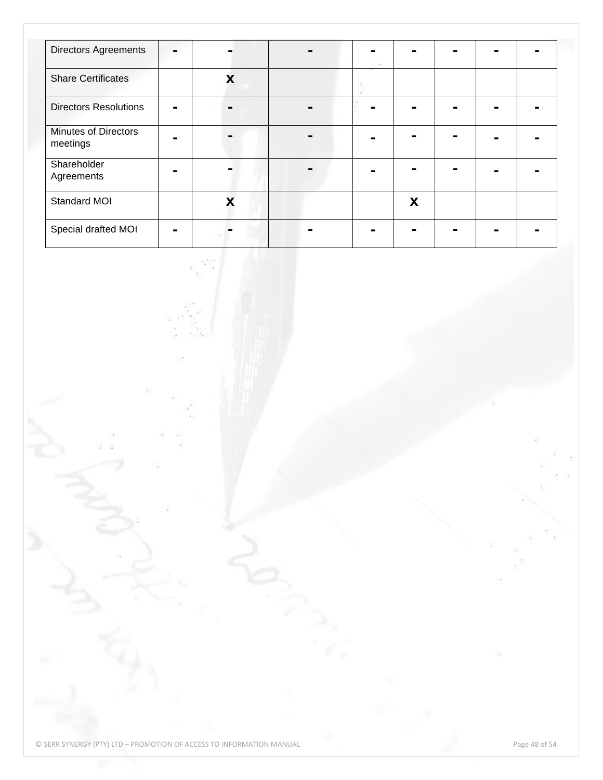| <b>Directors Agreements</b>             | - |   |  |   |  |  |
|-----------------------------------------|---|---|--|---|--|--|
| <b>Share Certificates</b>               |   | X |  |   |  |  |
| <b>Directors Resolutions</b>            |   |   |  |   |  |  |
| <b>Minutes of Directors</b><br>meetings |   |   |  |   |  |  |
| Shareholder<br>Agreements               |   |   |  |   |  |  |
| Standard MOI                            |   | Χ |  | X |  |  |
| Special drafted MOI                     |   |   |  |   |  |  |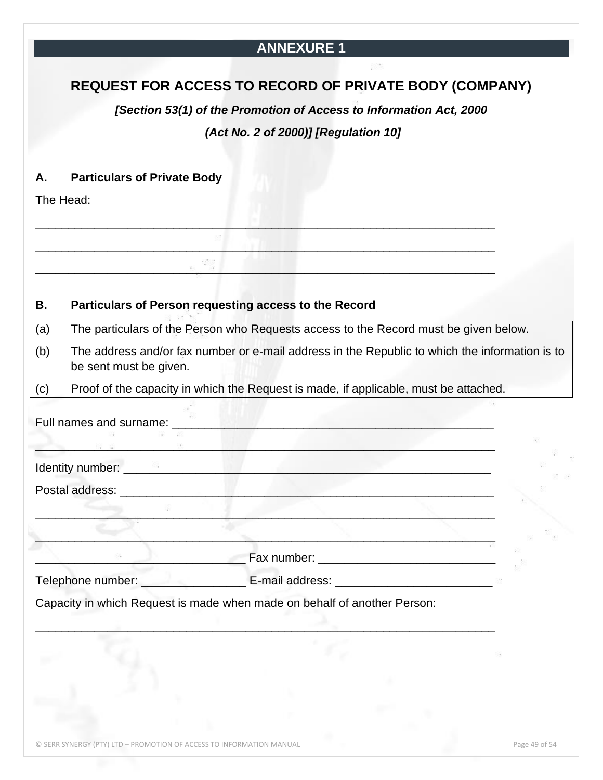### **ANNEXURE 1**

### <span id="page-48-0"></span>**REQUEST FOR ACCESS TO RECORD OF PRIVATE BODY (COMPANY)**

*[Section 53(1) of the Promotion of Access to Information Act, 2000*

#### *(Act No. 2 of 2000)] [Regulation 10]*

#### **A. Particulars of Private Body**

The Head:

#### **B. Particulars of Person requesting access to the Record**

(a) The particulars of the Person who Requests access to the Record must be given below.

(b) The address and/or fax number or e-mail address in the Republic to which the information is to be sent must be given.

(c) Proof of the capacity in which the Request is made, if applicable, must be attached.

\_\_\_\_\_\_\_\_\_\_\_\_\_\_\_\_\_\_\_\_\_\_\_\_\_\_\_\_\_\_\_\_\_\_\_\_\_\_\_\_\_\_\_\_\_\_\_\_\_\_\_\_\_\_\_\_\_\_\_\_\_\_\_\_\_\_\_\_\_\_

\_\_\_\_\_\_\_\_\_\_\_\_\_\_\_\_\_\_\_\_\_\_\_\_\_\_\_\_\_\_\_\_\_\_\_\_\_\_\_\_\_\_\_\_\_\_\_\_\_\_\_\_\_\_\_\_\_\_\_\_\_\_\_\_\_\_\_\_\_\_

\_\_\_\_\_\_\_\_\_\_\_\_\_\_\_\_\_\_\_\_\_\_\_\_\_\_\_\_\_\_\_\_\_\_\_\_\_\_\_\_\_\_\_\_\_\_\_\_\_\_\_\_\_\_\_\_\_\_\_\_\_\_\_\_\_\_\_\_\_\_

| Identity number: ___________                                             |  |  |
|--------------------------------------------------------------------------|--|--|
| Postal address:                                                          |  |  |
|                                                                          |  |  |
| Telephone number: E-mail address:                                        |  |  |
| Capacity in which Request is made when made on behalf of another Person: |  |  |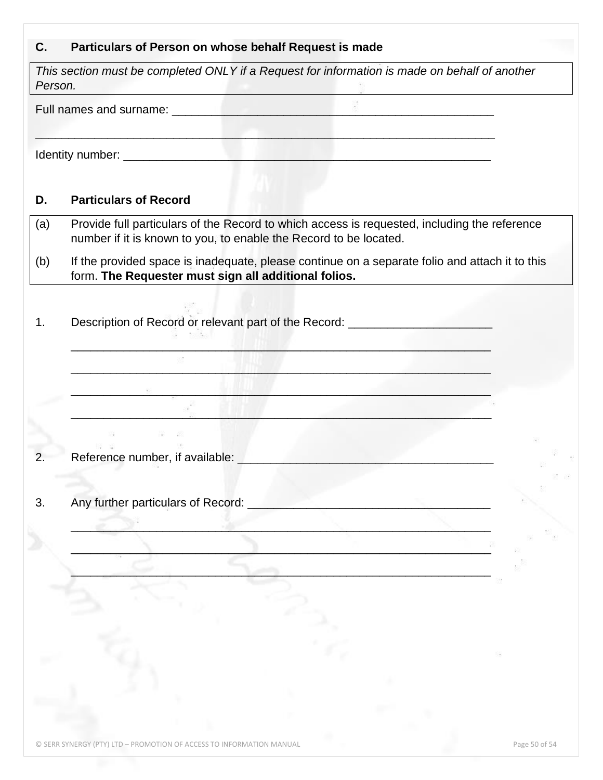# **C. Particulars of Person on whose behalf Request is made**

| Person. | This section must be completed ONLY if a Request for information is made on behalf of another<br>the contract of the state of the contract of the contract of the contract of |  |
|---------|-------------------------------------------------------------------------------------------------------------------------------------------------------------------------------|--|
|         |                                                                                                                                                                               |  |
|         |                                                                                                                                                                               |  |
| D.      | <b>Particulars of Record</b>                                                                                                                                                  |  |
| (a)     | Provide full particulars of the Record to which access is requested, including the reference<br>number if it is known to you, to enable the Record to be located.             |  |
| (b)     | If the provided space is inadequate, please continue on a separate folio and attach it to this<br>form. The Requester must sign all additional folios.                        |  |
| 1.      | Description of Record or relevant part of the Record: __________________________                                                                                              |  |
|         |                                                                                                                                                                               |  |
|         |                                                                                                                                                                               |  |
|         |                                                                                                                                                                               |  |
| 2.      | Reference number, if available:                                                                                                                                               |  |
| 3.      | Any further particulars of Record:                                                                                                                                            |  |
|         |                                                                                                                                                                               |  |
|         |                                                                                                                                                                               |  |
|         |                                                                                                                                                                               |  |
|         |                                                                                                                                                                               |  |
|         |                                                                                                                                                                               |  |
|         |                                                                                                                                                                               |  |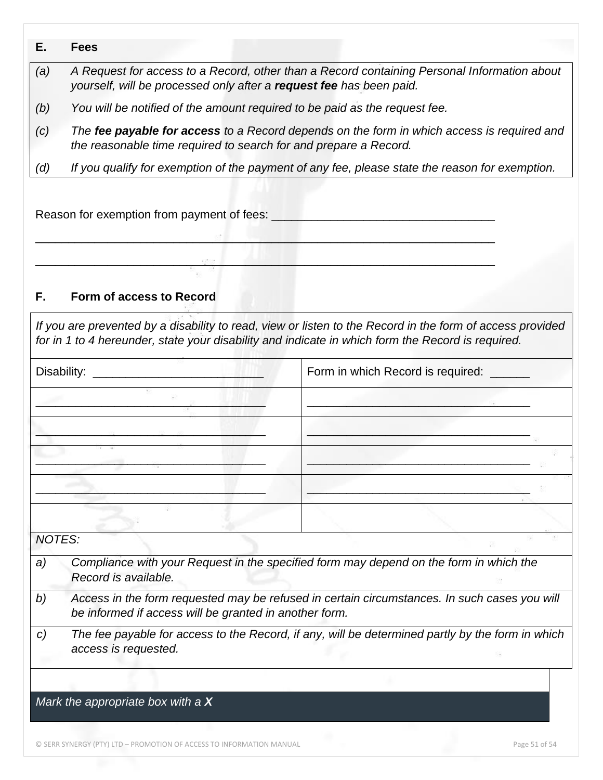- *(a) A Request for access to a Record, other than a Record containing Personal Information about yourself, will be processed only after a request fee has been paid.*
- *(b) You will be notified of the amount required to be paid as the request fee.*
- *(c) The fee payable for access to a Record depends on the form in which access is required and the reasonable time required to search for and prepare a Record.*
- *(d) If you qualify for exemption of the payment of any fee, please state the reason for exemption.*

\_\_\_\_\_\_\_\_\_\_\_\_\_\_\_\_\_\_\_\_\_\_\_\_\_\_\_\_\_\_\_\_\_\_\_\_\_\_\_\_\_\_\_\_\_\_\_\_\_\_\_\_\_\_\_\_\_\_\_\_\_\_\_\_\_\_\_\_\_\_

\_\_\_\_\_\_\_\_\_\_\_\_\_\_\_\_\_\_\_\_\_\_\_\_\_\_\_\_\_\_\_\_\_\_\_\_\_\_\_\_\_\_\_\_\_\_\_\_\_\_\_\_\_\_\_\_\_\_\_\_\_\_\_\_\_\_\_\_\_\_

Reason for exemption from payment of fees:

#### **F. Form of access to Record**

*If you are prevented by a disability to read, view or listen to the Record in the form of access provided for in 1 to 4 hereunder, state your disability and indicate in which form the Record is required.*

| Disability: _______________                                  | Form in which Record is required:                                                                |
|--------------------------------------------------------------|--------------------------------------------------------------------------------------------------|
|                                                              |                                                                                                  |
|                                                              |                                                                                                  |
|                                                              |                                                                                                  |
|                                                              |                                                                                                  |
|                                                              |                                                                                                  |
| <b>NOTES:</b>                                                |                                                                                                  |
| a)<br>Record is available.                                   | Compliance with your Request in the specified form may depend on the form in which the           |
| b)<br>be informed if access will be granted in another form. | Access in the form requested may be refused in certain circumstances. In such cases you will     |
| C)<br>access is requested.                                   | The fee payable for access to the Record, if any, will be determined partly by the form in which |
|                                                              |                                                                                                  |
| Mark the appropriate box with a $X$                          |                                                                                                  |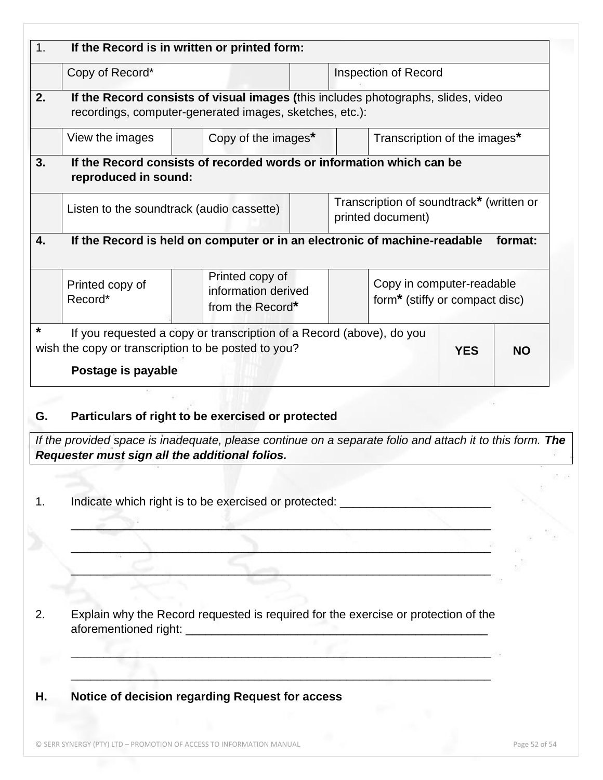| 1. |                                                | If the Record is in written or printed form:                                                                                                               |  |  |                                                                                                 |            |           |  |
|----|------------------------------------------------|------------------------------------------------------------------------------------------------------------------------------------------------------------|--|--|-------------------------------------------------------------------------------------------------|------------|-----------|--|
|    | Copy of Record*<br><b>Inspection of Record</b> |                                                                                                                                                            |  |  |                                                                                                 |            |           |  |
| 2. |                                                | If the Record consists of visual images (this includes photographs, slides, video<br>recordings, computer-generated images, sketches, etc.):               |  |  |                                                                                                 |            |           |  |
|    | View the images                                | Copy of the images*                                                                                                                                        |  |  | Transcription of the images*                                                                    |            |           |  |
| 3. | reproduced in sound:                           | If the Record consists of recorded words or information which can be                                                                                       |  |  |                                                                                                 |            |           |  |
|    |                                                | Listen to the soundtrack (audio cassette)                                                                                                                  |  |  | Transcription of soundtrack* (written or<br>printed document)                                   |            |           |  |
| 4. |                                                | If the Record is held on computer or in an electronic of machine-readable                                                                                  |  |  |                                                                                                 |            | format:   |  |
|    | Printed copy of<br>Record*                     | Printed copy of<br>information derived<br>from the Record*                                                                                                 |  |  | Copy in computer-readable<br>form <sup>*</sup> (stiffy or compact disc)                         |            |           |  |
| *  |                                                | If you requested a copy or transcription of a Record (above), do you<br>wish the copy or transcription to be posted to you?                                |  |  |                                                                                                 | <b>YES</b> | <b>NO</b> |  |
|    | Postage is payable                             |                                                                                                                                                            |  |  |                                                                                                 |            |           |  |
| G. |                                                | Particulars of right to be exercised or protected                                                                                                          |  |  |                                                                                                 |            |           |  |
|    |                                                | If the provided space is inadequate, please continue on a separate folio and attach it to this form. The<br>Requester must sign all the additional folios. |  |  |                                                                                                 |            |           |  |
|    |                                                |                                                                                                                                                            |  |  |                                                                                                 |            |           |  |
| 1. |                                                | Indicate which right is to be exercised or protected: __________________________                                                                           |  |  |                                                                                                 |            |           |  |
|    |                                                |                                                                                                                                                            |  |  |                                                                                                 |            |           |  |
|    |                                                |                                                                                                                                                            |  |  | the contract of the contract of the contract of the contract of the contract of the contract of |            |           |  |
|    |                                                |                                                                                                                                                            |  |  |                                                                                                 |            |           |  |
|    |                                                |                                                                                                                                                            |  |  |                                                                                                 |            |           |  |
|    |                                                |                                                                                                                                                            |  |  |                                                                                                 |            |           |  |
|    |                                                | Explain why the Record requested is required for the exercise or protection of the                                                                         |  |  |                                                                                                 |            |           |  |
|    |                                                |                                                                                                                                                            |  |  |                                                                                                 |            |           |  |
| 2. |                                                |                                                                                                                                                            |  |  |                                                                                                 |            |           |  |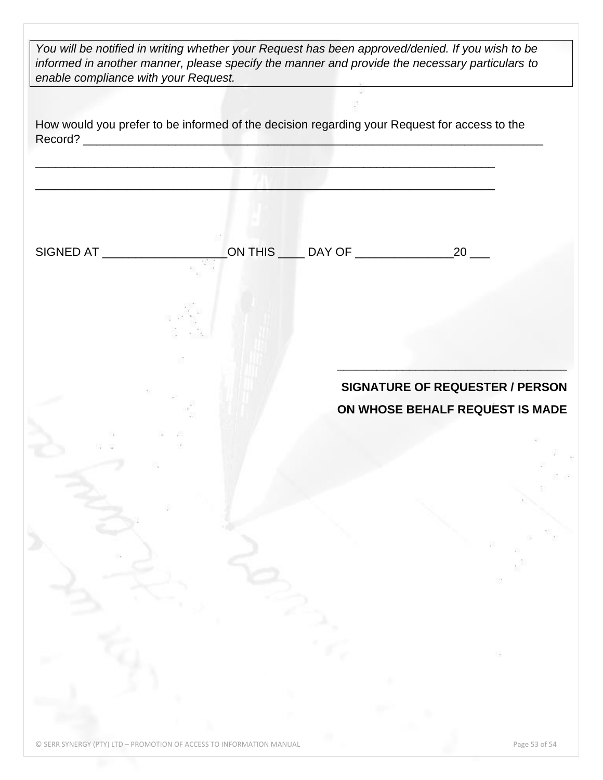*You will be notified in writing whether your Request has been approved/denied. If you wish to be informed in another manner, please specify the manner and provide the necessary particulars to enable compliance with your Request.*

How would you prefer to be informed of the decision regarding your Request for access to the Record? \_\_\_\_\_\_\_\_\_\_\_\_\_\_\_\_\_\_\_\_\_\_\_\_\_\_\_\_\_\_\_\_\_\_\_\_\_\_\_\_\_\_\_\_\_\_\_\_\_\_\_\_\_\_\_\_\_\_\_\_\_\_\_\_\_\_\_\_\_\_

\_\_\_\_\_\_\_\_\_\_\_\_\_\_\_\_\_\_\_\_\_\_\_\_\_\_\_\_\_\_\_\_\_\_\_\_\_\_\_\_\_\_\_\_\_\_\_\_\_\_\_\_\_\_\_\_\_\_\_\_\_\_\_\_\_\_\_\_\_\_

\_\_\_\_\_\_\_\_\_\_\_\_\_\_\_\_\_\_\_\_\_\_\_\_\_\_\_\_\_\_\_\_\_\_\_\_\_\_\_\_\_\_\_\_\_\_\_\_\_\_\_\_\_\_\_\_\_\_\_\_\_\_\_\_\_\_\_\_\_\_

SIGNED AT \_\_\_\_\_\_\_\_\_\_\_\_\_\_\_\_\_\_\_ON THIS \_\_\_\_ DAY OF \_\_\_\_\_\_\_\_\_\_\_\_\_\_\_20 \_\_\_

# **SIGNATURE OF REQUESTER / PERSON ON WHOSE BEHALF REQUEST IS MADE**

\_\_\_\_\_\_\_\_\_\_\_\_\_\_\_\_\_\_\_\_\_\_\_\_\_\_\_\_\_\_\_\_\_\_\_